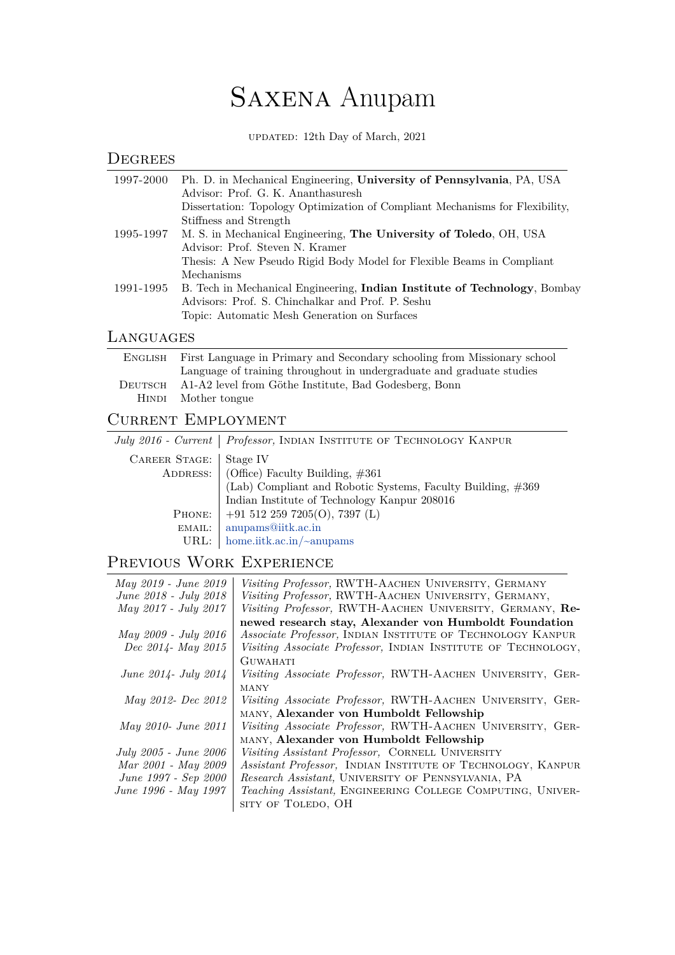# Saxena Anupam

updated: 12th Day of March, 2021

| DEGREES   |                                                                              |
|-----------|------------------------------------------------------------------------------|
| 1997-2000 | Ph. D. in Mechanical Engineering, University of Pennsylvania, PA, USA        |
|           | Advisor: Prof. G. K. Ananthasuresh                                           |
|           | Dissertation: Topology Optimization of Compliant Mechanisms for Flexibility, |
|           | Stiffness and Strength                                                       |
|           | 1995-1997 M. S. in Mechanical Engineering, The University of Toledo, OH, USA |
|           | Advisor: Prof. Steven N. Kramer                                              |
|           | Thesis: A New Pseudo Rigid Body Model for Flexible Beams in Compliant        |
|           | Mechanisms                                                                   |
| 1991-1995 | B. Tech in Mechanical Engineering, Indian Institute of Technology, Bombay    |
|           | Advisors: Prof. S. Chinchalkar and Prof. P. Seshu                            |
|           | Topic: Automatic Mesh Generation on Surfaces                                 |
|           |                                                                              |

#### Languages

| ENGLISH | First Language in Primary and Secondary schooling from Missionary school |
|---------|--------------------------------------------------------------------------|
|         | Language of training throughout in undergraduate and graduate studies    |
| DEUTSCH | A1-A2 level from Göthe Institute, Bad Godesberg, Bonn                    |
|         | HINDI Mother tongue                                                      |

### CURRENT EMPLOYMENT

|                      | July 2016 - Current   Professor, INDIAN INSTITUTE OF TECHNOLOGY KANPUR |
|----------------------|------------------------------------------------------------------------|
| <b>CAREER STAGE:</b> | Stage IV                                                               |
|                      | ADDRESS:   (Office) Faculty Building, #361                             |
|                      | (Lab) Compliant and Robotic Systems, Faculty Building, #369            |
|                      | Indian Institute of Technology Kanpur 208016                           |
| PHONE:               | $+915122597205(O), 7397(L)$                                            |
| EMAIL:               | anupams@iitk.ac.in                                                     |
|                      | URL:   home.iitk.ac.in/ $\sim$ anupams                                 |

## Previous Work Experience

| May 2019 - June 2019         | Visiting Professor, RWTH-AACHEN UNIVERSITY, GERMANY           |
|------------------------------|---------------------------------------------------------------|
| June 2018 - July 2018        | Visiting Professor, RWTH-AACHEN UNIVERSITY, GERMANY,          |
| May 2017 - July 2017         | Visiting Professor, RWTH-AACHEN UNIVERSITY, GERMANY, Re-      |
|                              | newed research stay, Alexander von Humboldt Foundation        |
| May 2009 - July 2016         | Associate Professor, INDIAN INSTITUTE OF TECHNOLOGY KANPUR    |
| Dec 2014- May 2015           | Visiting Associate Professor, INDIAN INSTITUTE OF TECHNOLOGY, |
|                              | <b>GUWAHATI</b>                                               |
| <i>June 2014 - July 2014</i> | Visiting Associate Professor, RWTH-AACHEN UNIVERSITY, GER-    |
|                              | MANY                                                          |
| May 2012- Dec 2012           | Visiting Associate Professor, RWTH-AACHEN UNIVERSITY, GER-    |
|                              | MANY, Alexander von Humboldt Fellowship                       |
| May 2010- June 2011          | Visiting Associate Professor, RWTH-AACHEN UNIVERSITY, GER-    |
|                              | MANY, Alexander von Humboldt Fellowship                       |
| July 2005 - June 2006        | Visiting Assistant Professor, CORNELL UNIVERSITY              |
| Mar 2001 - May 2009          | Assistant Professor, INDIAN INSTITUTE OF TECHNOLOGY, KANPUR   |
| June 1997 - Sep 2000         | Research Assistant, UNIVERSITY OF PENNSYLVANIA, PA            |
| June 1996 - May 1997         | Teaching Assistant, ENGINEERING COLLEGE COMPUTING, UNIVER-    |
|                              | SITY OF TOLEDO, OH                                            |
|                              |                                                               |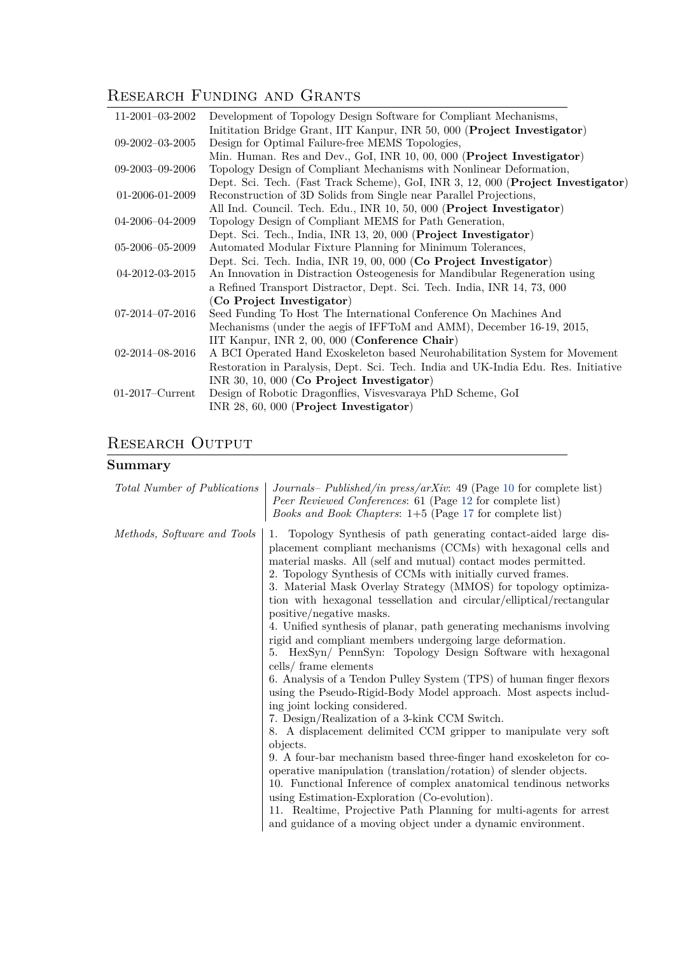# RESEARCH FUNDING AND GRANTS

| $11-2001-03-2002$       | Development of Topology Design Software for Compliant Mechanisms,                  |
|-------------------------|------------------------------------------------------------------------------------|
|                         | Initiation Bridge Grant, IIT Kanpur, INR 50, 000 (Project Investigator)            |
| $09 - 2002 - 03 - 2005$ | Design for Optimal Failure-free MEMS Topologies,                                   |
|                         | Min. Human. Res and Dev., GoI, INR 10, 00, 000 (Project Investigator)              |
| $09 - 2003 - 09 - 2006$ | Topology Design of Compliant Mechanisms with Nonlinear Deformation,                |
|                         | Dept. Sci. Tech. (Fast Track Scheme), GoI, INR 3, 12, 000 (Project Investigator)   |
| 01-2006-01-2009         | Reconstruction of 3D Solids from Single near Parallel Projections,                 |
|                         | All Ind. Council. Tech. Edu., INR 10, 50, 000 (Project Investigator)               |
| $04 - 2006 - 04 - 2009$ | Topology Design of Compliant MEMS for Path Generation,                             |
|                         | Dept. Sci. Tech., India, INR 13, 20, 000 (Project Investigator)                    |
| $05 - 2006 - 05 - 2009$ | Automated Modular Fixture Planning for Minimum Tolerances,                         |
|                         | Dept. Sci. Tech. India, INR 19, 00, 000 (Co Project Investigator)                  |
| 04-2012-03-2015         | An Innovation in Distraction Osteogenesis for Mandibular Regeneration using        |
|                         | a Refined Transport Distractor, Dept. Sci. Tech. India, INR 14, 73, 000            |
|                         | (Co Project Investigator)                                                          |
| $07-2014-07-2016$       | Seed Funding To Host The International Conference On Machines And                  |
|                         | Mechanisms (under the aegis of IFFToM and AMM), December 16-19, 2015,              |
|                         | IIT Kanpur, INR 2, 00, 000 (Conference Chair)                                      |
| $02 - 2014 - 08 - 2016$ | A BCI Operated Hand Exoskeleton based Neurohabilitation System for Movement        |
|                         | Restoration in Paralysis, Dept. Sci. Tech. India and UK-India Edu. Res. Initiative |
|                         | INR 30, 10, 000 (Co Project Investigator)                                          |
| $01-2017$ -Current      | Design of Robotic Dragonflies, Visvesvaraya PhD Scheme, GoI                        |
|                         | INR $28, 60, 000$ (Project Investigator)                                           |
|                         |                                                                                    |

# RESEARCH OUTPUT

# **Summary**

| Total Number of Publications | Journals– Published/in press/arXiv: 49 (Page 10 for complete list)<br><i>Peer Reviewed Conferences:</i> 61 (Page 12 for complete list)<br><i>Books and Book Chapters</i> : $1+5$ (Page 17 for complete list)                                                                                                                                                                                                                                                                                                                                                                                                                                                                                                                                                                                                                                                                                                                                                                                                                                                                                                                                                                                                                                                                                                                                                                                |
|------------------------------|---------------------------------------------------------------------------------------------------------------------------------------------------------------------------------------------------------------------------------------------------------------------------------------------------------------------------------------------------------------------------------------------------------------------------------------------------------------------------------------------------------------------------------------------------------------------------------------------------------------------------------------------------------------------------------------------------------------------------------------------------------------------------------------------------------------------------------------------------------------------------------------------------------------------------------------------------------------------------------------------------------------------------------------------------------------------------------------------------------------------------------------------------------------------------------------------------------------------------------------------------------------------------------------------------------------------------------------------------------------------------------------------|
| Methods, Software and Tools  | 1. Topology Synthesis of path generating contact-aided large dis-<br>placement compliant mechanisms (CCMs) with hexagonal cells and<br>material masks. All (self and mutual) contact modes permitted.<br>2. Topology Synthesis of CCMs with initially curved frames.<br>3. Material Mask Overlay Strategy (MMOS) for topology optimiza-<br>tion with hexagonal tessellation and circular/elliptical/rectangular<br>positive/negative masks.<br>4. Unified synthesis of planar, path generating mechanisms involving<br>rigid and compliant members undergoing large deformation.<br>5. HexSyn/ PennSyn: Topology Design Software with hexagonal<br>cells/ frame elements<br>6. Analysis of a Tendon Pulley System (TPS) of human finger flexors<br>using the Pseudo-Rigid-Body Model approach. Most aspects includ-<br>ing joint locking considered.<br>7. Design/Realization of a 3-kink CCM Switch.<br>8. A displacement delimited CCM gripper to manipulate very soft<br>objects.<br>9. A four-bar mechanism based three-finger hand exoskeleton for co-<br>operative manipulation (translation/rotation) of slender objects.<br>10. Functional Inference of complex anatomical tendinous networks<br>using Estimation-Exploration (Co-evolution).<br>11. Realtime, Projective Path Planning for multi-agents for arrest<br>and guidance of a moving object under a dynamic environment. |
|                              |                                                                                                                                                                                                                                                                                                                                                                                                                                                                                                                                                                                                                                                                                                                                                                                                                                                                                                                                                                                                                                                                                                                                                                                                                                                                                                                                                                                             |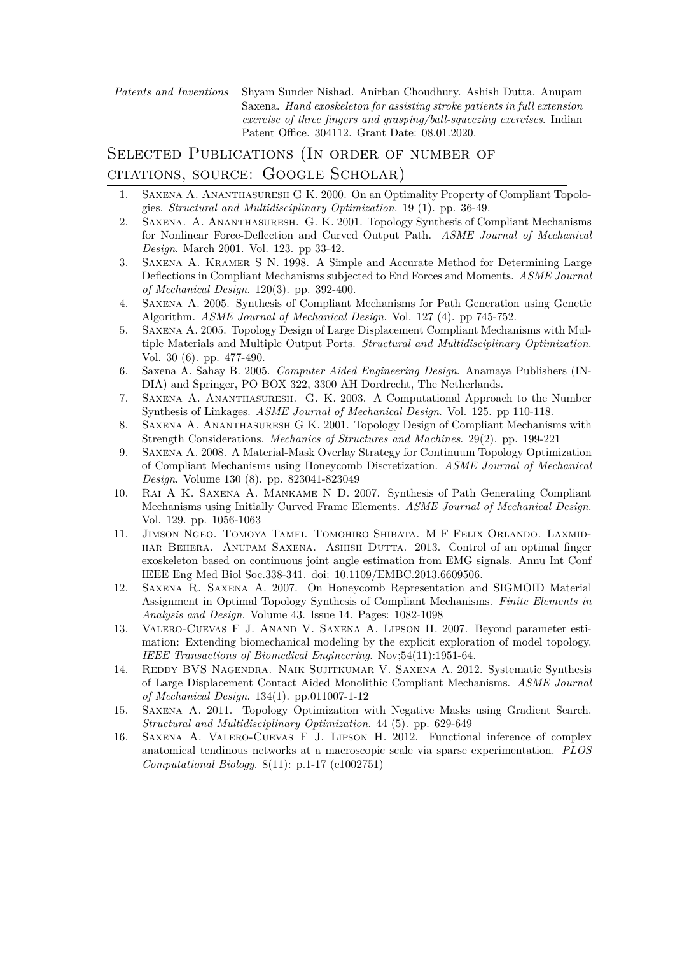*Patents and Inventions* | Shyam Sunder Nishad. Anirban Choudhury. Ashish Dutta. Anupam Saxena. *Hand exoskeleton for assisting stroke patients in full extension exercise of three fingers and grasping/ball-squeezing exercises*. Indian Patent Office. 304112. Grant Date: 08.01.2020.

### SELECTED PUBLICATIONS (IN ORDER OF NUMBER OF citations, source: Google Scholar)

- 1. Saxena A. Ananthasuresh G K. 2000. On an Optimality Property of Compliant Topologies. *Structural and Multidisciplinary Optimization*. 19 (1). pp. 36-49.
- 2. Saxena. A. Ananthasuresh. G. K. 2001. Topology Synthesis of Compliant Mechanisms for Nonlinear Force-Deflection and Curved Output Path. *ASME Journal of Mechanical Design*. March 2001. Vol. 123. pp 33-42.
- 3. Saxena A. Kramer S N. 1998. A Simple and Accurate Method for Determining Large Deflections in Compliant Mechanisms subjected to End Forces and Moments. *ASME Journal of Mechanical Design*. 120(3). pp. 392-400.
- 4. Saxena A. 2005. Synthesis of Compliant Mechanisms for Path Generation using Genetic Algorithm. *ASME Journal of Mechanical Design*. Vol. 127 (4). pp 745-752.
- 5. Saxena A. 2005. Topology Design of Large Displacement Compliant Mechanisms with Multiple Materials and Multiple Output Ports. *Structural and Multidisciplinary Optimization*. Vol. 30 (6). pp. 477-490.
- 6. Saxena A. Sahay B. 2005. *Computer Aided Engineering Design*. Anamaya Publishers (IN-DIA) and Springer, PO BOX 322, 3300 AH Dordrecht, The Netherlands.
- 7. Saxena A. Ananthasuresh. G. K. 2003. A Computational Approach to the Number Synthesis of Linkages. *ASME Journal of Mechanical Design*. Vol. 125. pp 110-118.
- 8. Saxena A. Ananthasuresh G K. 2001. Topology Design of Compliant Mechanisms with Strength Considerations. *Mechanics of Structures and Machines*. 29(2). pp. 199-221
- 9. Saxena A. 2008. A Material-Mask Overlay Strategy for Continuum Topology Optimization of Compliant Mechanisms using Honeycomb Discretization. *ASME Journal of Mechanical Design*. Volume 130 (8). pp. 823041-823049
- 10. Rai A K. Saxena A. Mankame N D. 2007. Synthesis of Path Generating Compliant Mechanisms using Initially Curved Frame Elements. *ASME Journal of Mechanical Design*. Vol. 129. pp. 1056-1063
- 11. Jimson Ngeo. Tomoya Tamei. Tomohiro Shibata. M F Felix Orlando. Laxmidhar Behera. Anupam Saxena. Ashish Dutta. 2013. Control of an optimal finger exoskeleton based on continuous joint angle estimation from EMG signals. Annu Int Conf IEEE Eng Med Biol Soc.338-341. doi: 10.1109/EMBC.2013.6609506.
- 12. Saxena R. Saxena A. 2007. On Honeycomb Representation and SIGMOID Material Assignment in Optimal Topology Synthesis of Compliant Mechanisms. *Finite Elements in Analysis and Design*. Volume 43. Issue 14. Pages: 1082-1098
- 13. Valero-Cuevas F J. Anand V. Saxena A. Lipson H. 2007. Beyond parameter estimation: Extending biomechanical modeling by the explicit exploration of model topology. *IEEE Transactions of Biomedical Engineering*. Nov;54(11):1951-64.
- 14. Reddy BVS Nagendra. Naik Sujitkumar V. Saxena A. 2012. Systematic Synthesis of Large Displacement Contact Aided Monolithic Compliant Mechanisms. *ASME Journal of Mechanical Design*. 134(1). pp.011007-1-12
- 15. Saxena A. 2011. Topology Optimization with Negative Masks using Gradient Search. *Structural and Multidisciplinary Optimization*. 44 (5). pp. 629-649
- 16. Saxena A. Valero-Cuevas F J. Lipson H. 2012. Functional inference of complex anatomical tendinous networks at a macroscopic scale via sparse experimentation. *PLOS Computational Biology*. 8(11): p.1-17 (e1002751)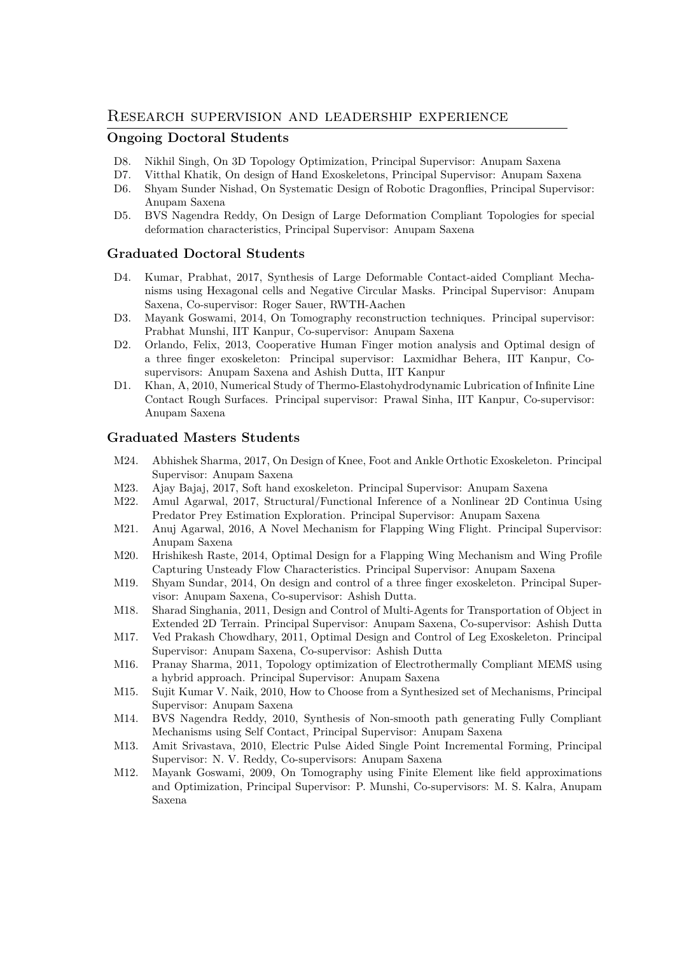#### Research supervision and leadership experience

#### **Ongoing Doctoral Students**

- D8. Nikhil Singh, On 3D Topology Optimization, Principal Supervisor: Anupam Saxena
- D7. Vitthal Khatik, On design of Hand Exoskeletons, Principal Supervisor: Anupam Saxena
- D6. Shyam Sunder Nishad, On Systematic Design of Robotic Dragonflies, Principal Supervisor: Anupam Saxena
- D5. BVS Nagendra Reddy, On Design of Large Deformation Compliant Topologies for special deformation characteristics, Principal Supervisor: Anupam Saxena

#### **Graduated Doctoral Students**

- D4. Kumar, Prabhat, 2017, Synthesis of Large Deformable Contact-aided Compliant Mechanisms using Hexagonal cells and Negative Circular Masks. Principal Supervisor: Anupam Saxena, Co-supervisor: Roger Sauer, RWTH-Aachen
- D3. Mayank Goswami, 2014, On Tomography reconstruction techniques. Principal supervisor: Prabhat Munshi, IIT Kanpur, Co-supervisor: Anupam Saxena
- D2. Orlando, Felix, 2013, Cooperative Human Finger motion analysis and Optimal design of a three finger exoskeleton: Principal supervisor: Laxmidhar Behera, IIT Kanpur, Cosupervisors: Anupam Saxena and Ashish Dutta, IIT Kanpur
- D1. Khan, A, 2010, Numerical Study of Thermo-Elastohydrodynamic Lubrication of Infinite Line Contact Rough Surfaces. Principal supervisor: Prawal Sinha, IIT Kanpur, Co-supervisor: Anupam Saxena

#### **Graduated Masters Students**

- M24. Abhishek Sharma, 2017, On Design of Knee, Foot and Ankle Orthotic Exoskeleton. Principal Supervisor: Anupam Saxena
- M23. Ajay Bajaj, 2017, Soft hand exoskeleton. Principal Supervisor: Anupam Saxena
- M22. Amul Agarwal, 2017, Structural/Functional Inference of a Nonlinear 2D Continua Using Predator Prey Estimation Exploration. Principal Supervisor: Anupam Saxena
- M21. Anuj Agarwal, 2016, A Novel Mechanism for Flapping Wing Flight. Principal Supervisor: Anupam Saxena
- M20. Hrishikesh Raste, 2014, Optimal Design for a Flapping Wing Mechanism and Wing Profile Capturing Unsteady Flow Characteristics. Principal Supervisor: Anupam Saxena
- M19. Shyam Sundar, 2014, On design and control of a three finger exoskeleton. Principal Supervisor: Anupam Saxena, Co-supervisor: Ashish Dutta.
- M18. Sharad Singhania, 2011, Design and Control of Multi-Agents for Transportation of Object in Extended 2D Terrain. Principal Supervisor: Anupam Saxena, Co-supervisor: Ashish Dutta
- M17. Ved Prakash Chowdhary, 2011, Optimal Design and Control of Leg Exoskeleton. Principal Supervisor: Anupam Saxena, Co-supervisor: Ashish Dutta
- M16. Pranay Sharma, 2011, Topology optimization of Electrothermally Compliant MEMS using a hybrid approach. Principal Supervisor: Anupam Saxena
- M15. Sujit Kumar V. Naik, 2010, How to Choose from a Synthesized set of Mechanisms, Principal Supervisor: Anupam Saxena
- M14. BVS Nagendra Reddy, 2010, Synthesis of Non-smooth path generating Fully Compliant Mechanisms using Self Contact, Principal Supervisor: Anupam Saxena
- M13. Amit Srivastava, 2010, Electric Pulse Aided Single Point Incremental Forming, Principal Supervisor: N. V. Reddy, Co-supervisors: Anupam Saxena
- M12. Mayank Goswami, 2009, On Tomography using Finite Element like field approximations and Optimization, Principal Supervisor: P. Munshi, Co-supervisors: M. S. Kalra, Anupam Saxena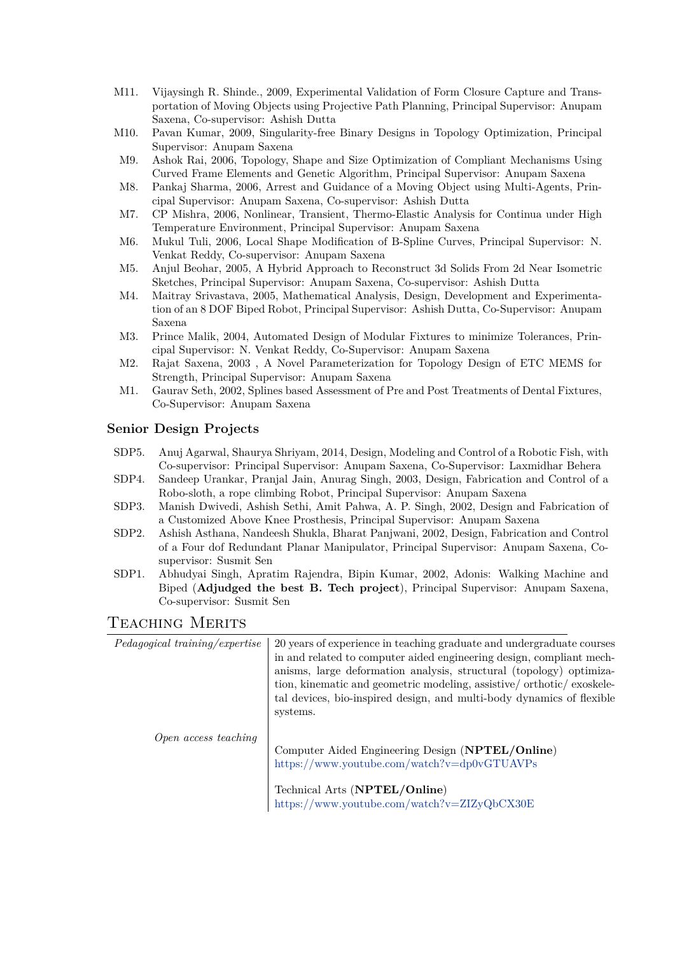- M11. Vijaysingh R. Shinde., 2009, Experimental Validation of Form Closure Capture and Transportation of Moving Objects using Projective Path Planning, Principal Supervisor: Anupam Saxena, Co-supervisor: Ashish Dutta
- M10. Pavan Kumar, 2009, Singularity-free Binary Designs in Topology Optimization, Principal Supervisor: Anupam Saxena
- M9. Ashok Rai, 2006, Topology, Shape and Size Optimization of Compliant Mechanisms Using Curved Frame Elements and Genetic Algorithm, Principal Supervisor: Anupam Saxena
- M8. Pankaj Sharma, 2006, Arrest and Guidance of a Moving Object using Multi-Agents, Principal Supervisor: Anupam Saxena, Co-supervisor: Ashish Dutta
- M7. CP Mishra, 2006, Nonlinear, Transient, Thermo-Elastic Analysis for Continua under High Temperature Environment, Principal Supervisor: Anupam Saxena
- M6. Mukul Tuli, 2006, Local Shape Modification of B-Spline Curves, Principal Supervisor: N. Venkat Reddy, Co-supervisor: Anupam Saxena
- M5. Anjul Beohar, 2005, A Hybrid Approach to Reconstruct 3d Solids From 2d Near Isometric Sketches, Principal Supervisor: Anupam Saxena, Co-supervisor: Ashish Dutta
- M4. Maitray Srivastava, 2005, Mathematical Analysis, Design, Development and Experimentation of an 8 DOF Biped Robot, Principal Supervisor: Ashish Dutta, Co-Supervisor: Anupam Saxena
- M3. Prince Malik, 2004, Automated Design of Modular Fixtures to minimize Tolerances, Principal Supervisor: N. Venkat Reddy, Co-Supervisor: Anupam Saxena
- M2. Rajat Saxena, 2003 , A Novel Parameterization for Topology Design of ETC MEMS for Strength, Principal Supervisor: Anupam Saxena
- M1. Gaurav Seth, 2002, Splines based Assessment of Pre and Post Treatments of Dental Fixtures, Co-Supervisor: Anupam Saxena

#### **Senior Design Projects**

- SDP5. Anuj Agarwal, Shaurya Shriyam, 2014, Design, Modeling and Control of a Robotic Fish, with Co-supervisor: Principal Supervisor: Anupam Saxena, Co-Supervisor: Laxmidhar Behera
- SDP4. Sandeep Urankar, Pranjal Jain, Anurag Singh, 2003, Design, Fabrication and Control of a Robo-sloth, a rope climbing Robot, Principal Supervisor: Anupam Saxena
- SDP3. Manish Dwivedi, Ashish Sethi, Amit Pahwa, A. P. Singh, 2002, Design and Fabrication of a Customized Above Knee Prosthesis, Principal Supervisor: Anupam Saxena
- SDP2. Ashish Asthana, Nandeesh Shukla, Bharat Panjwani, 2002, Design, Fabrication and Control of a Four dof Redundant Planar Manipulator, Principal Supervisor: Anupam Saxena, Cosupervisor: Susmit Sen
- SDP1. Abhudyai Singh, Apratim Rajendra, Bipin Kumar, 2002, Adonis: Walking Machine and Biped (**Adjudged the best B. Tech project**), Principal Supervisor: Anupam Saxena, Co-supervisor: Susmit Sen

#### Teaching Merits

| Pedagogical training/expertise | 20 years of experience in teaching graduate and undergraduate courses<br>in and related to computer aided engineering design, compliant mech-<br>anisms, large deformation analysis, structural (topology) optimiza-<br>tion, kinematic and geometric modeling, assistive/orthotic/exoskele-<br>tal devices, bio-inspired design, and multi-body dynamics of flexible<br>systems. |
|--------------------------------|-----------------------------------------------------------------------------------------------------------------------------------------------------------------------------------------------------------------------------------------------------------------------------------------------------------------------------------------------------------------------------------|
| Open access teaching           | Computer Aided Engineering Design (NPTEL/Online)<br>https://www.youtube.com/watch?v=dp0vGTUAVPs<br>Technical Arts (NPTEL/Online)<br>https://www.youtube.com/watch?v=ZIZyQbCX30E                                                                                                                                                                                                   |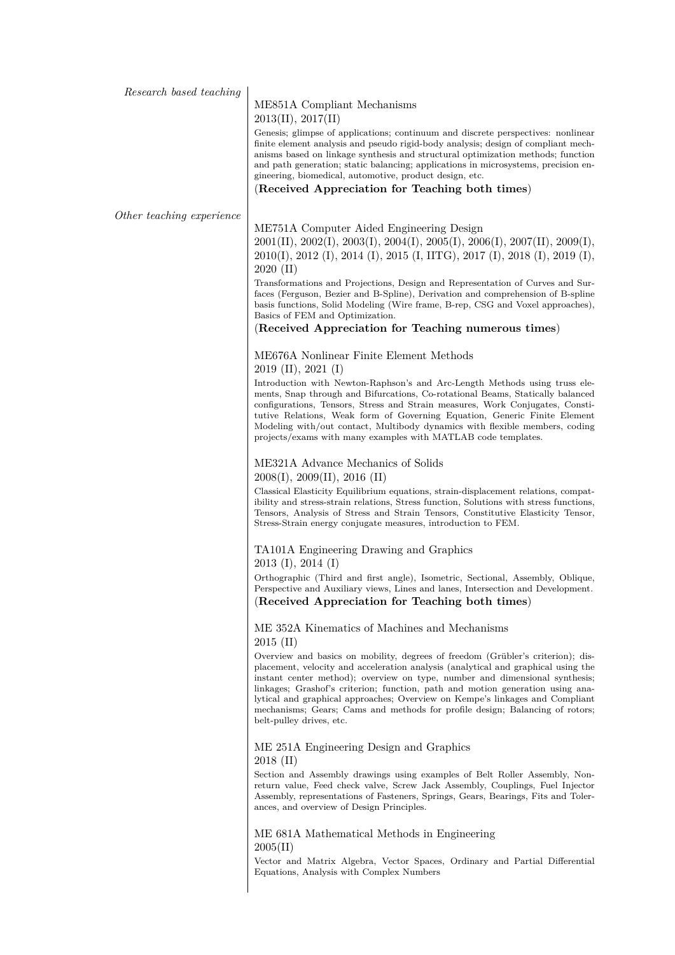#### ME851A Compliant Mechanisms 2013(II), 2017(II)

Genesis; glimpse of applications; continuum and discrete perspectives: nonlinear finite element analysis and pseudo rigid-body analysis; design of compliant mechanisms based on linkage synthesis and structural optimization methods; function and path generation; static balancing; applications in microsystems, precision engineering, biomedical, automotive, product design, etc.

(**Received Appreciation for Teaching both times**)

*Other teaching experience*

ME751A Computer Aided Engineering Design 2001(II), 2002(I), 2003(I), 2004(I), 2005(I), 2006(I), 2007(II), 2009(I), 2010(I), 2012 (I), 2014 (I), 2015 (I, IITG), 2017 (I), 2018 (I), 2019 (I), 2020 (II)

Transformations and Projections, Design and Representation of Curves and Surfaces (Ferguson, Bezier and B-Spline), Derivation and comprehension of B-spline basis functions, Solid Modeling (Wire frame, B-rep, CSG and Voxel approaches), Basics of FEM and Optimization.

#### (**Received Appreciation for Teaching numerous times**)

ME676A Nonlinear Finite Element Methods 2019 (II), 2021 (I)

Introduction with Newton-Raphson's and Arc-Length Methods using truss elements, Snap through and Bifurcations, Co-rotational Beams, Statically balanced configurations, Tensors, Stress and Strain measures, Work Conjugates, Constitutive Relations, Weak form of Governing Equation, Generic Finite Element Modeling with/out contact, Multibody dynamics with flexible members, coding projects/exams with many examples with MATLAB code templates.

#### ME321A Advance Mechanics of Solids 2008(I), 2009(II), 2016 (II)

Classical Elasticity Equilibrium equations, strain-displacement relations, compatibility and stress-strain relations, Stress function, Solutions with stress functions, Tensors, Analysis of Stress and Strain Tensors, Constitutive Elasticity Tensor, Stress-Strain energy conjugate measures, introduction to FEM.

#### TA101A Engineering Drawing and Graphics 2013 (I), 2014 (I)

Orthographic (Third and first angle), Isometric, Sectional, Assembly, Oblique, Perspective and Auxiliary views, Lines and lanes, Intersection and Development. (**Received Appreciation for Teaching both times**)

ME 352A Kinematics of Machines and Mechanisms 2015 (II)

Overview and basics on mobility, degrees of freedom (Grübler's criterion); displacement, velocity and acceleration analysis (analytical and graphical using the instant center method); overview on type, number and dimensional synthesis; linkages; Grashof's criterion; function, path and motion generation using analytical and graphical approaches; Overview on Kempe's linkages and Compliant mechanisms; Gears; Cams and methods for profile design; Balancing of rotors; belt-pulley drives, etc.

#### ME 251A Engineering Design and Graphics 2018 (II)

Section and Assembly drawings using examples of Belt Roller Assembly, Nonreturn value, Feed check valve, Screw Jack Assembly, Couplings, Fuel Injector Assembly, representations of Fasteners, Springs, Gears, Bearings, Fits and Tolerances, and overview of Design Principles.

ME 681A Mathematical Methods in Engineering 2005(II)

Vector and Matrix Algebra, Vector Spaces, Ordinary and Partial Differential Equations, Analysis with Complex Numbers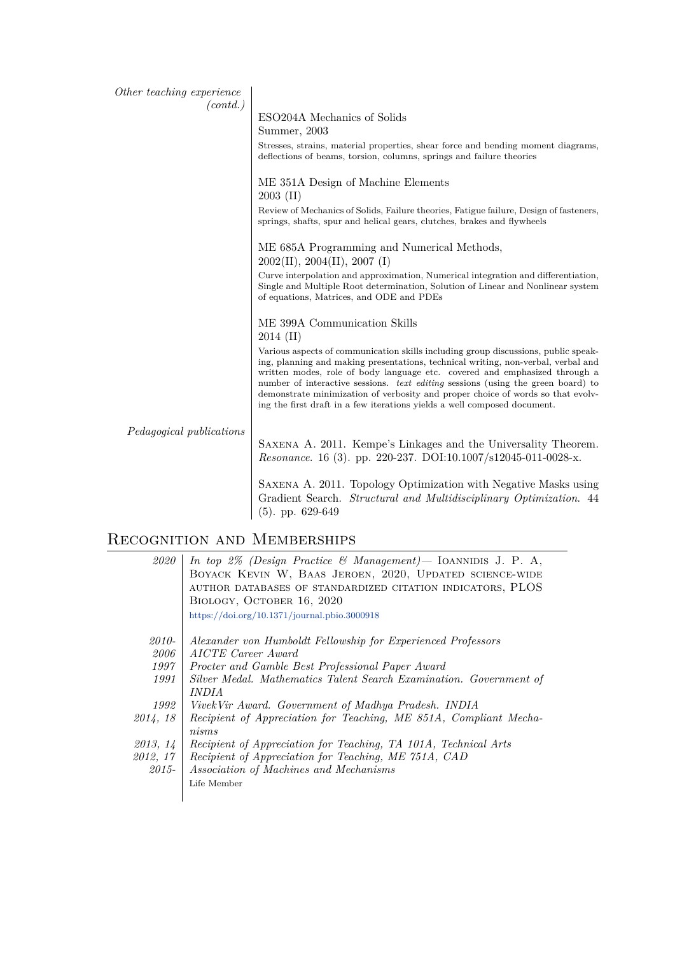| Other teaching experience<br>(contd.) |                                                                                                                                                                                                                                                                                                                                                                                                                                                                                                          |
|---------------------------------------|----------------------------------------------------------------------------------------------------------------------------------------------------------------------------------------------------------------------------------------------------------------------------------------------------------------------------------------------------------------------------------------------------------------------------------------------------------------------------------------------------------|
|                                       | ESO204A Mechanics of Solids                                                                                                                                                                                                                                                                                                                                                                                                                                                                              |
|                                       | Summer, 2003                                                                                                                                                                                                                                                                                                                                                                                                                                                                                             |
|                                       | Stresses, strains, material properties, shear force and bending moment diagrams,<br>deflections of beams, torsion, columns, springs and failure theories                                                                                                                                                                                                                                                                                                                                                 |
|                                       | ME 351A Design of Machine Elements<br>$2003$ (II)                                                                                                                                                                                                                                                                                                                                                                                                                                                        |
|                                       | Review of Mechanics of Solids, Failure theories, Fatigue failure, Design of fasteners,<br>springs, shafts, spur and helical gears, clutches, brakes and flywheels                                                                                                                                                                                                                                                                                                                                        |
|                                       | ME 685A Programming and Numerical Methods,<br>2002(II), 2004(II), 2007(I)                                                                                                                                                                                                                                                                                                                                                                                                                                |
|                                       | Curve interpolation and approximation, Numerical integration and differentiation,<br>Single and Multiple Root determination, Solution of Linear and Nonlinear system<br>of equations, Matrices, and ODE and PDEs                                                                                                                                                                                                                                                                                         |
|                                       | ME 399A Communication Skills<br>$2014 \; (II)$                                                                                                                                                                                                                                                                                                                                                                                                                                                           |
|                                       | Various aspects of communication skills including group discussions, public speak-<br>ing, planning and making presentations, technical writing, non-verbal, verbal and<br>written modes, role of body language etc. covered and emphasized through a<br>number of interactive sessions. text editing sessions (using the green board) to<br>demonstrate minimization of verbosity and proper choice of words so that evolv-<br>ing the first draft in a few iterations yields a well composed document. |
| Pedagogical publications              | SAXENA A. 2011. Kempe's Linkages and the Universality Theorem.<br>Resonance. 16 (3). pp. 220-237. DOI:10.1007/s12045-011-0028-x.                                                                                                                                                                                                                                                                                                                                                                         |
|                                       | SAXENA A. 2011. Topology Optimization with Negative Masks using<br>Gradient Search. Structural and Multidisciplinary Optimization. 44                                                                                                                                                                                                                                                                                                                                                                    |

## Recognition and Memberships

(5). pp. 629-649

| 2020     | In top 2% (Design Practice & Management) – IOANNIDIS J. P. A,      |
|----------|--------------------------------------------------------------------|
|          | BOYACK KEVIN W, BAAS JEROEN, 2020, UPDATED SCIENCE-WIDE            |
|          | AUTHOR DATABASES OF STANDARDIZED CITATION INDICATORS, PLOS         |
|          | BIOLOGY, OCTOBER 16, 2020                                          |
|          |                                                                    |
|          | https://doi.org/10.1371/journal.pbio.3000918                       |
|          |                                                                    |
| 2010-    | Alexander von Humboldt Fellowship for Experienced Professors       |
| 2006     | AICTE Career Award                                                 |
| 1997     | Procter and Gamble Best Professional Paper Award                   |
| 1991     | Silver Medal. Mathematics Talent Search Examination. Government of |
|          | <i>INDIA</i>                                                       |
| 1992     | VivekVir Award. Government of Madhya Pradesh. INDIA                |
| 2014, 18 | Recipient of Appreciation for Teaching, ME 851A, Compliant Mecha-  |
|          | nisms                                                              |
| 2013, 14 | Recipient of Appreciation for Teaching, TA 101A, Technical Arts    |
|          |                                                                    |
| 2012, 17 | Recipient of Appreciation for Teaching, ME 751A, CAD               |
| 2015-    | Association of Machines and Mechanisms                             |
|          | Life Member                                                        |
|          |                                                                    |
|          |                                                                    |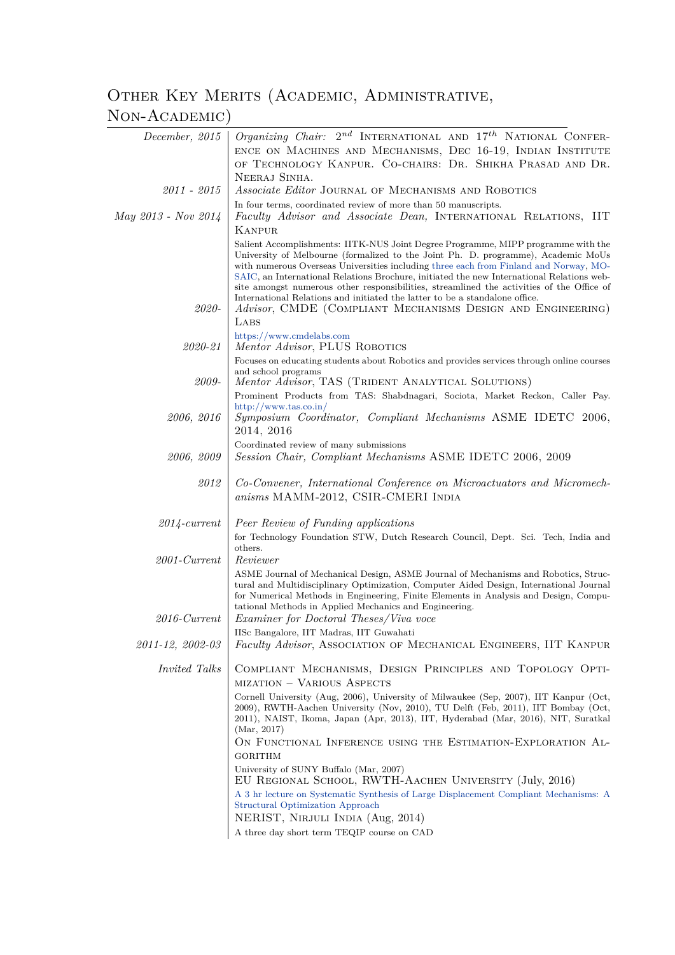# OTHER KEY MERITS (ACADEMIC, ADMINISTRATIVE, Non-Academic)

| December, 2015       | Organizing Chair: $2^{nd}$ INTERNATIONAL AND $17^{th}$ NATIONAL CONFER-                                                                                                                                                                                                                                                                                                                                                                                                                                                                                                                                 |
|----------------------|---------------------------------------------------------------------------------------------------------------------------------------------------------------------------------------------------------------------------------------------------------------------------------------------------------------------------------------------------------------------------------------------------------------------------------------------------------------------------------------------------------------------------------------------------------------------------------------------------------|
|                      | ENCE ON MACHINES AND MECHANISMS, DEC 16-19, INDIAN INSTITUTE<br>OF TECHNOLOGY KANPUR. CO-CHAIRS: DR. SHIKHA PRASAD AND DR.                                                                                                                                                                                                                                                                                                                                                                                                                                                                              |
|                      |                                                                                                                                                                                                                                                                                                                                                                                                                                                                                                                                                                                                         |
| $2011 - 2015$        | NEERAJ SINHA.<br>Associate Editor JOURNAL OF MECHANISMS AND ROBOTICS                                                                                                                                                                                                                                                                                                                                                                                                                                                                                                                                    |
|                      | In four terms, coordinated review of more than 50 manuscripts.                                                                                                                                                                                                                                                                                                                                                                                                                                                                                                                                          |
| May 2013 - Nov 2014  | Faculty Advisor and Associate Dean, INTERNATIONAL RELATIONS, IIT                                                                                                                                                                                                                                                                                                                                                                                                                                                                                                                                        |
|                      | KANPUR                                                                                                                                                                                                                                                                                                                                                                                                                                                                                                                                                                                                  |
| 2020-                | Salient Accomplishments: IITK-NUS Joint Degree Programme, MIPP programme with the<br>University of Melbourne (formalized to the Joint Ph. D. programme), Academic MoUs<br>with numerous Overseas Universities including three each from Finland and Norway, MO-<br>SAIC, an International Relations Brochure, initiated the new International Relations web-<br>site amongst numerous other responsibilities, streamlined the activities of the Office of<br>International Relations and initiated the latter to be a standalone office.<br>Advisor, CMDE (COMPLIANT MECHANISMS DESIGN AND ENGINEERING) |
|                      | LABS                                                                                                                                                                                                                                                                                                                                                                                                                                                                                                                                                                                                    |
| 2020-21              | https://www.cmdelabs.com<br>Mentor Advisor, PLUS ROBOTICS                                                                                                                                                                                                                                                                                                                                                                                                                                                                                                                                               |
|                      | Focuses on educating students about Robotics and provides services through online courses                                                                                                                                                                                                                                                                                                                                                                                                                                                                                                               |
| 2009-                | and school programs<br>Mentor Advisor, TAS (TRIDENT ANALYTICAL SOLUTIONS)                                                                                                                                                                                                                                                                                                                                                                                                                                                                                                                               |
|                      | Prominent Products from TAS: Shabdnagari, Sociota, Market Reckon, Caller Pay.                                                                                                                                                                                                                                                                                                                                                                                                                                                                                                                           |
|                      | http://www.tas.co.in/                                                                                                                                                                                                                                                                                                                                                                                                                                                                                                                                                                                   |
| 2006, 2016           | Symposium Coordinator, Compliant Mechanisms ASME IDETC 2006,<br>2014, 2016                                                                                                                                                                                                                                                                                                                                                                                                                                                                                                                              |
|                      | Coordinated review of many submissions                                                                                                                                                                                                                                                                                                                                                                                                                                                                                                                                                                  |
| 2006, 2009           | Session Chair, Compliant Mechanisms ASME IDETC 2006, 2009                                                                                                                                                                                                                                                                                                                                                                                                                                                                                                                                               |
| 2012                 | Co-Convener, International Conference on Microactuators and Micromech-<br>anisms MAMM-2012, CSIR-CMERI INDIA                                                                                                                                                                                                                                                                                                                                                                                                                                                                                            |
| $2014$ -current      | Peer Review of Funding applications                                                                                                                                                                                                                                                                                                                                                                                                                                                                                                                                                                     |
|                      | for Technology Foundation STW, Dutch Research Council, Dept. Sci. Tech, India and                                                                                                                                                                                                                                                                                                                                                                                                                                                                                                                       |
|                      | others.                                                                                                                                                                                                                                                                                                                                                                                                                                                                                                                                                                                                 |
| $2001$ -Current      | Reviewer                                                                                                                                                                                                                                                                                                                                                                                                                                                                                                                                                                                                |
| $2016$ -Current      | ASME Journal of Mechanical Design, ASME Journal of Mechanisms and Robotics, Struc-<br>tural and Multidisciplinary Optimization, Computer Aided Design, International Journal<br>for Numerical Methods in Engineering, Finite Elements in Analysis and Design, Compu-<br>tational Methods in Applied Mechanics and Engineering.<br><i>Examiner for Doctoral Theses/Viva voce</i>                                                                                                                                                                                                                         |
|                      | IISc Bangalore, IIT Madras, IIT Guwahati                                                                                                                                                                                                                                                                                                                                                                                                                                                                                                                                                                |
| 2011-12, 2002-03     | Faculty Advisor, ASSOCIATION OF MECHANICAL ENGINEERS, IIT KANPUR                                                                                                                                                                                                                                                                                                                                                                                                                                                                                                                                        |
| <i>Invited Talks</i> | COMPLIANT MECHANISMS, DESIGN PRINCIPLES AND TOPOLOGY OPTI-<br>MIZATION - VARIOUS ASPECTS                                                                                                                                                                                                                                                                                                                                                                                                                                                                                                                |
|                      | Cornell University (Aug, 2006), University of Milwaukee (Sep, 2007), IIT Kanpur (Oct,<br>2009), RWTH-Aachen University (Nov, 2010), TU Delft (Feb, 2011), IIT Bombay (Oct,<br>2011), NAIST, Ikoma, Japan (Apr, 2013), IIT, Hyderabad (Mar, 2016), NIT, Suratkal<br>(Mar, 2017)                                                                                                                                                                                                                                                                                                                          |
|                      | ON FUNCTIONAL INFERENCE USING THE ESTIMATION-EXPLORATION AL-                                                                                                                                                                                                                                                                                                                                                                                                                                                                                                                                            |
|                      | <b>GORITHM</b>                                                                                                                                                                                                                                                                                                                                                                                                                                                                                                                                                                                          |
|                      | University of SUNY Buffalo (Mar, 2007)<br>EU REGIONAL SCHOOL, RWTH-AACHEN UNIVERSITY (July, 2016)                                                                                                                                                                                                                                                                                                                                                                                                                                                                                                       |
|                      | A 3 hr lecture on Systematic Synthesis of Large Displacement Compliant Mechanisms: A<br>Structural Optimization Approach                                                                                                                                                                                                                                                                                                                                                                                                                                                                                |
|                      | NERIST, NIRJULI INDIA (Aug, 2014)                                                                                                                                                                                                                                                                                                                                                                                                                                                                                                                                                                       |
|                      | A three day short term TEQIP course on CAD                                                                                                                                                                                                                                                                                                                                                                                                                                                                                                                                                              |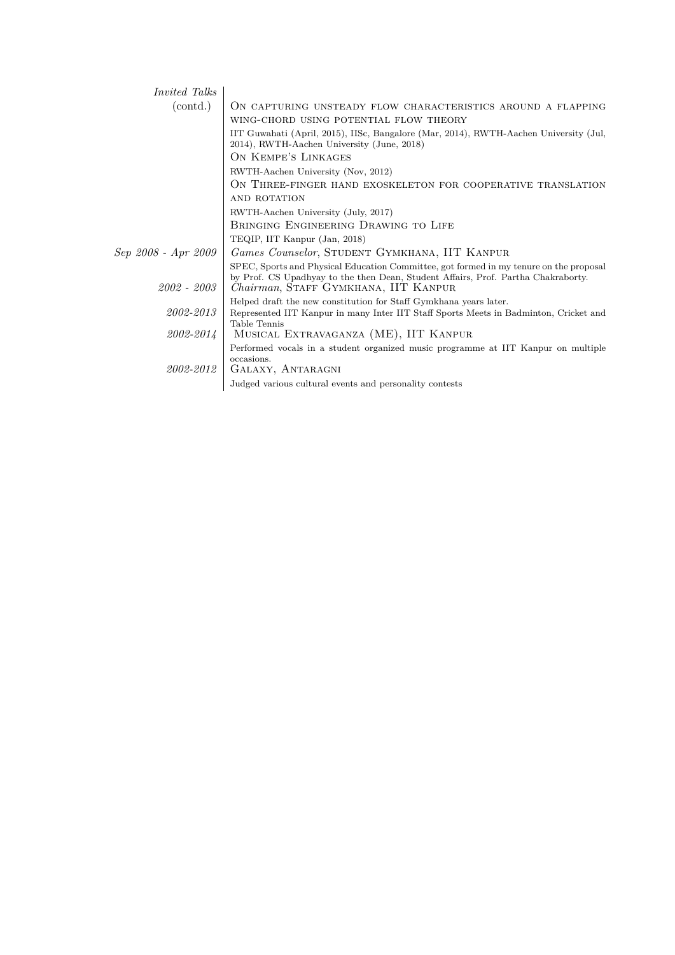| <i>Invited Talks</i> |                                                                                                                                                                                                                             |
|----------------------|-----------------------------------------------------------------------------------------------------------------------------------------------------------------------------------------------------------------------------|
| (contd.)             | ON CAPTURING UNSTEADY FLOW CHARACTERISTICS AROUND A FLAPPING                                                                                                                                                                |
|                      | WING-CHORD USING POTENTIAL FLOW THEORY                                                                                                                                                                                      |
|                      | IIT Guwahati (April, 2015), IISc, Bangalore (Mar, 2014), RWTH-Aachen University (Jul,<br>2014), RWTH-Aachen University (June, 2018)                                                                                         |
|                      | ON KEMPE'S LINKAGES                                                                                                                                                                                                         |
|                      | RWTH-Aachen University (Nov, 2012)                                                                                                                                                                                          |
|                      | ON THREE-FINGER HAND EXOSKELETON FOR COOPERATIVE TRANSLATION                                                                                                                                                                |
|                      | AND ROTATION                                                                                                                                                                                                                |
|                      | RWTH-Aachen University (July, 2017)                                                                                                                                                                                         |
|                      | BRINGING ENGINEERING DRAWING TO LIFE                                                                                                                                                                                        |
|                      | TEQIP, IIT Kanpur (Jan, 2018)                                                                                                                                                                                               |
| Sep 2008 - Apr 2009  | Games Counselor, STUDENT GYMKHANA, IIT KANPUR                                                                                                                                                                               |
| $2002 - 2003$        | SPEC, Sports and Physical Education Committee, got formed in my tenure on the proposal<br>by Prof. CS Upadhyay to the then Dean, Student Affairs, Prof. Partha Chakraborty.<br><i>Chairman</i> , STAFF GYMKHANA, IIT KANPUR |
|                      | Helped draft the new constitution for Staff Gymkhana years later.                                                                                                                                                           |
| 2002-2013            | Represented IIT Kanpur in many Inter IIT Staff Sports Meets in Badminton, Cricket and<br>Table Tennis                                                                                                                       |
| 2002-2014            | MUSICAL EXTRAVAGANZA (ME), IIT KANPUR                                                                                                                                                                                       |
| $2002 - 2012$        | Performed vocals in a student organized music programme at IIT Kanpur on multiple<br>occasions.<br>GALAXY, ANTARAGNI                                                                                                        |
|                      | Judged various cultural events and personality contests                                                                                                                                                                     |
|                      |                                                                                                                                                                                                                             |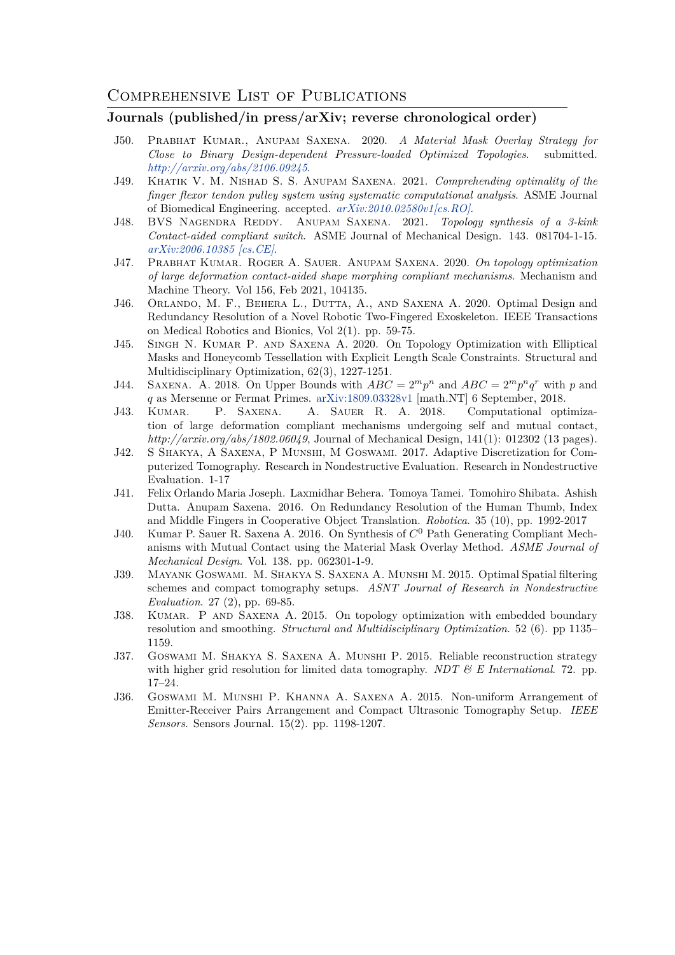#### **Journals (published/in press/arXiv; reverse chronological order)**

- <span id="page-9-0"></span>J50. Prabhat Kumar., Anupam Saxena. 2020. *A Material Mask Overlay Strategy for Close to Binary Design-dependent Pressure-loaded Optimized Topologies*. submitted. *http://arxiv.org/abs/2106.09245*.
- J49. Khatik V. M. Nishad S. S. Anupam Saxena. 2021. *Comprehending optimality of the finger flexor tendon pulley system using systematic computational analysis*. ASME Journal of Biomedical Engineering. accepted. *arXiv:2010.02580v1[cs.RO]*.
- J48. [BVS Nagendra Reddy. An](http://arxiv.org/abs/2106.09245 )upam Saxena. 2021. *Topology synthesis of a 3-kink Contact-aided compliant switch*. ASME Journal of Mechanical Design. 143. 081704-1-15. *arXiv:2006.10385 [cs.CE]*.
- J47. Prabhat Kumar. Roger A. Saue[r. Anupam Saxena](http://arxiv.org/abs/2010.02580). 2020. *On topology optimization of large deformation contact-aided shape morphing compliant mechanisms*. Mechanism and Machine Theory. Vol 156, Feb 2021, 104135.
- J46. [Orlando, M. F., Beher](https://arxiv.org/pdf/2006.10385.pdf)a L., Dutta, A., and Saxena A. 2020. Optimal Design and Redundancy Resolution of a Novel Robotic Two-Fingered Exoskeleton. IEEE Transactions on Medical Robotics and Bionics, Vol 2(1). pp. 59-75.
- J45. Singh N. Kumar P. and Saxena A. 2020. On Topology Optimization with Elliptical Masks and Honeycomb Tessellation with Explicit Length Scale Constraints. Structural and Multidisciplinary Optimization, 62(3), 1227-1251.
- J44. SAXENA. A. 2018. On Upper Bounds with  $ABC = 2^m p^n$  and  $ABC = 2^m p^n q^r$  with p and *q* as Mersenne or Fermat Primes. arXiv:1809.03328v1 [math.NT] 6 September, 2018.
- J43. Kumar. P. Saxena. A. Sauer R. A. 2018. Computational optimization of large deformation compliant mechanisms undergoing self and mutual contact, *http://arxiv.org/abs/1802.06049*, Journal of Mechanical Design, 141(1): 012302 (13 pages).
- J42. S Shakya, A Saxena, P Muns[hi, M Goswami](https://arxiv.org/abs/1809.03328). 2017. Adaptive Discretization for Computerized Tomography. Research in Nondestructive Evaluation. Research in Nondestructive Evaluation. 1-17
- J41. Felix Orlando Maria Joseph. Laxmidhar Behera. Tomoya Tamei. Tomohiro Shibata. Ashish Dutta. Anupam Saxena. 2016. On Redundancy Resolution of the Human Thumb, Index and Middle Fingers in Cooperative Object Translation. *Robotica*. 35 (10), pp. 1992-2017
- J40. Kumar P. Sauer R. Saxena A. 2016. On Synthesis of *C* <sup>0</sup> Path Generating Compliant Mechanisms with Mutual Contact using the Material Mask Overlay Method. *ASME Journal of Mechanical Design*. Vol. 138. pp. 062301-1-9.
- J39. Mayank Goswami. M. Shakya S. Saxena A. Munshi M. 2015. Optimal Spatial filtering schemes and compact tomography setups. *ASNT Journal of Research in Nondestructive Evaluation*. 27 (2), pp. 69-85.
- J38. KUMAR. P AND SAXENA A. 2015. On topology optimization with embedded boundary resolution and smoothing. *Structural and Multidisciplinary Optimization*. 52 (6). pp 1135– 1159.
- J37. Goswami M. Shakya S. Saxena A. Munshi P. 2015. Reliable reconstruction strategy with higher grid resolution for limited data tomography. *NDT & E International*. 72. pp. 17–24.
- J36. Goswami M. Munshi P. Khanna A. Saxena A. 2015. Non-uniform Arrangement of Emitter-Receiver Pairs Arrangement and Compact Ultrasonic Tomography Setup. *IEEE Sensors*. Sensors Journal. 15(2). pp. 1198-1207.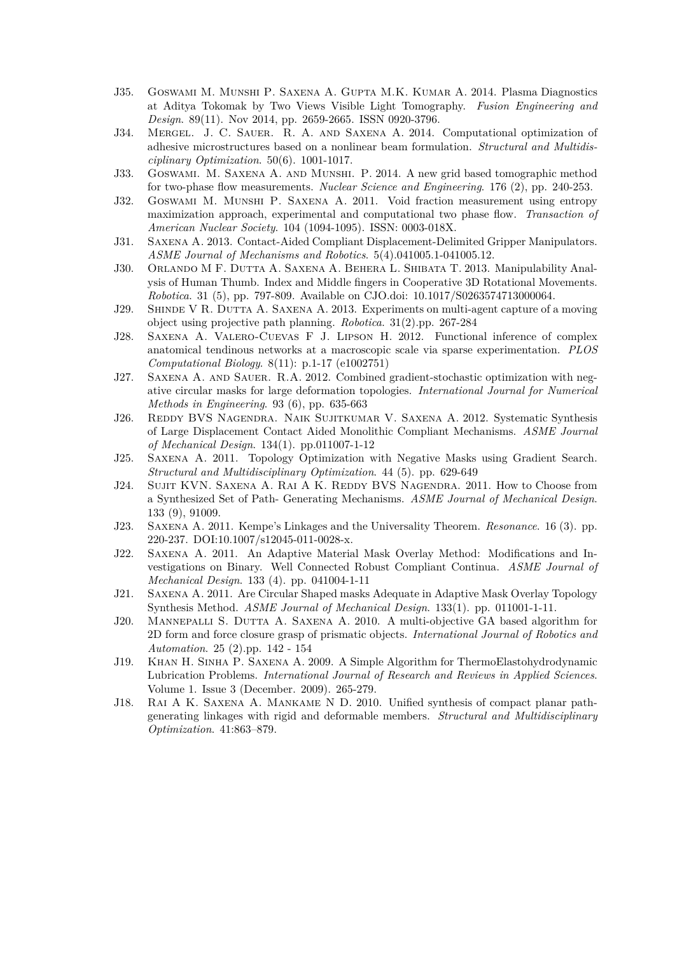- J35. Goswami M. Munshi P. Saxena A. Gupta M.K. Kumar A. 2014. Plasma Diagnostics at Aditya Tokomak by Two Views Visible Light Tomography. *Fusion Engineering and Design*. 89(11). Nov 2014, pp. 2659-2665. ISSN 0920-3796.
- J34. Mergel. J. C. Sauer. R. A. and Saxena A. 2014. Computational optimization of adhesive microstructures based on a nonlinear beam formulation. *Structural and Multidisciplinary Optimization*. 50(6). 1001-1017.
- J33. Goswami. M. Saxena A. and Munshi. P. 2014. A new grid based tomographic method for two-phase flow measurements. *Nuclear Science and Engineering*. 176 (2), pp. 240-253.
- J32. Goswami M. Munshi P. Saxena A. 2011. Void fraction measurement using entropy maximization approach, experimental and computational two phase flow. *Transaction of American Nuclear Society*. 104 (1094-1095). ISSN: 0003-018X.
- J31. Saxena A. 2013. Contact-Aided Compliant Displacement-Delimited Gripper Manipulators. *ASME Journal of Mechanisms and Robotics*. 5(4).041005.1-041005.12.
- J30. Orlando M F. Dutta A. Saxena A. Behera L. Shibata T. 2013. Manipulability Analysis of Human Thumb. Index and Middle fingers in Cooperative 3D Rotational Movements. *Robotica*. 31 (5), pp. 797-809. Available on CJO.doi: 10.1017/S0263574713000064.
- J29. SHINDE V R. DUTTA A. SAXENA A. 2013. Experiments on multi-agent capture of a moving object using projective path planning. *Robotica*. 31(2).pp. 267-284
- J28. Saxena A. Valero-Cuevas F J. Lipson H. 2012. Functional inference of complex anatomical tendinous networks at a macroscopic scale via sparse experimentation. *PLOS Computational Biology*. 8(11): p.1-17 (e1002751)
- J27. Saxena A. and Sauer. R.A. 2012. Combined gradient-stochastic optimization with negative circular masks for large deformation topologies. *International Journal for Numerical Methods in Engineering*. 93 (6), pp. 635-663
- J26. Reddy BVS Nagendra. Naik Sujitkumar V. Saxena A. 2012. Systematic Synthesis of Large Displacement Contact Aided Monolithic Compliant Mechanisms. *ASME Journal of Mechanical Design*. 134(1). pp.011007-1-12
- J25. Saxena A. 2011. Topology Optimization with Negative Masks using Gradient Search. *Structural and Multidisciplinary Optimization*. 44 (5). pp. 629-649
- J24. SUJIT KVN. SAXENA A. RAI A K. REDDY BVS NAGENDRA. 2011. How to Choose from a Synthesized Set of Path- Generating Mechanisms. *ASME Journal of Mechanical Design*. 133 (9), 91009.
- J23. Saxena A. 2011. Kempe's Linkages and the Universality Theorem. *Resonance*. 16 (3). pp. 220-237. DOI:10.1007/s12045-011-0028-x.
- J22. Saxena A. 2011. An Adaptive Material Mask Overlay Method: Modifications and Investigations on Binary. Well Connected Robust Compliant Continua. *ASME Journal of Mechanical Design*. 133 (4). pp. 041004-1-11
- J21. Saxena A. 2011. Are Circular Shaped masks Adequate in Adaptive Mask Overlay Topology Synthesis Method. *ASME Journal of Mechanical Design*. 133(1). pp. 011001-1-11.
- J20. Mannepalli S. Dutta A. Saxena A. 2010. A multi-objective GA based algorithm for 2D form and force closure grasp of prismatic objects. *International Journal of Robotics and Automation*. 25 (2).pp. 142 - 154
- J19. Khan H. Sinha P. Saxena A. 2009. A Simple Algorithm for ThermoElastohydrodynamic Lubrication Problems. *International Journal of Research and Reviews in Applied Sciences*. Volume 1. Issue 3 (December. 2009). 265-279.
- J18. Rai A K. Saxena A. Mankame N D. 2010. Unified synthesis of compact planar pathgenerating linkages with rigid and deformable members. *Structural and Multidisciplinary Optimization*. 41:863–879.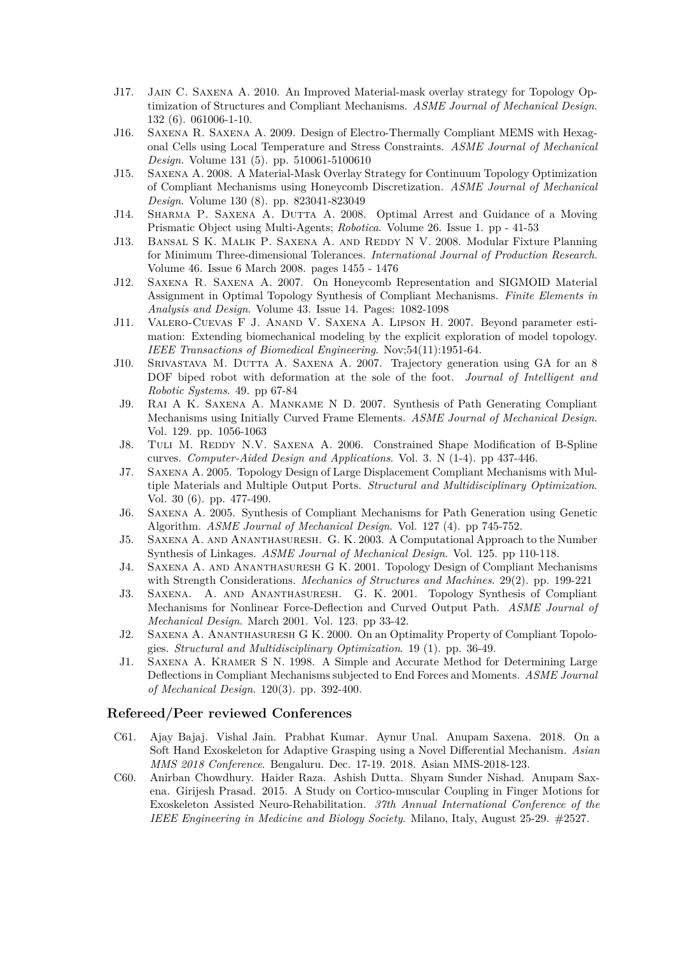- J17. Jain C. Saxena A. 2010. An Improved Material-mask overlay strategy for Topology Optimization of Structures and Compliant Mechanisms. *ASME Journal of Mechanical Design*. 132 (6). 061006-1-10.
- J16. Saxena R. Saxena A. 2009. Design of Electro-Thermally Compliant MEMS with Hexagonal Cells using Local Temperature and Stress Constraints. *ASME Journal of Mechanical Design*. Volume 131 (5). pp. 510061-5100610
- J15. Saxena A. 2008. A Material-Mask Overlay Strategy for Continuum Topology Optimization of Compliant Mechanisms using Honeycomb Discretization. *ASME Journal of Mechanical Design*. Volume 130 (8). pp. 823041-823049
- J14. SHARMA P. SAXENA A. DUTTA A. 2008. Optimal Arrest and Guidance of a Moving Prismatic Object using Multi-Agents; *Robotica*. Volume 26. Issue 1. pp - 41-53
- J13. Bansal S K. Malik P. Saxena A. and Reddy N V. 2008. Modular Fixture Planning for Minimum Three-dimensional Tolerances. *International Journal of Production Research*. Volume 46. Issue 6 March 2008. pages 1455 - 1476
- J12. Saxena R. Saxena A. 2007. On Honeycomb Representation and SIGMOID Material Assignment in Optimal Topology Synthesis of Compliant Mechanisms. *Finite Elements in Analysis and Design*. Volume 43. Issue 14. Pages: 1082-1098
- J11. Valero-Cuevas F J. Anand V. Saxena A. Lipson H. 2007. Beyond parameter estimation: Extending biomechanical modeling by the explicit exploration of model topology. *IEEE Transactions of Biomedical Engineering*. Nov;54(11):1951-64.
- J10. Srivastava M. Dutta A. Saxena A. 2007. Trajectory generation using GA for an 8 DOF biped robot with deformation at the sole of the foot. *Journal of Intelligent and Robotic Systems*. 49. pp 67-84
- J9. Rai A K. Saxena A. Mankame N D. 2007. Synthesis of Path Generating Compliant Mechanisms using Initially Curved Frame Elements. *ASME Journal of Mechanical Design*. Vol. 129. pp. 1056-1063
- J8. TULI M. REDDY N.V. SAXENA A. 2006. Constrained Shape Modification of B-Spline curves. *Computer-Aided Design and Applications*. Vol. 3. N (1-4). pp 437-446.
- J7. Saxena A. 2005. Topology Design of Large Displacement Compliant Mechanisms with Multiple Materials and Multiple Output Ports. *Structural and Multidisciplinary Optimization*. Vol. 30 (6). pp. 477-490.
- J6. Saxena A. 2005. Synthesis of Compliant Mechanisms for Path Generation using Genetic Algorithm. *ASME Journal of Mechanical Design*. Vol. 127 (4). pp 745-752.
- J5. Saxena A. and Ananthasuresh. G. K. 2003. A Computational Approach to the Number Synthesis of Linkages. *ASME Journal of Mechanical Design*. Vol. 125. pp 110-118.
- J4. Saxena A. and Ananthasuresh G K. 2001. Topology Design of Compliant Mechanisms with Strength Considerations. *Mechanics of Structures and Machines*. 29(2). pp. 199-221
- J3. Saxena. A. and Ananthasuresh. G. K. 2001. Topology Synthesis of Compliant Mechanisms for Nonlinear Force-Deflection and Curved Output Path. *ASME Journal of Mechanical Design*. March 2001. Vol. 123. pp 33-42.
- J2. Saxena A. Ananthasuresh G K. 2000. On an Optimality Property of Compliant Topologies. *Structural and Multidisciplinary Optimization*. 19 (1). pp. 36-49.
- J1. Saxena A. Kramer S N. 1998. A Simple and Accurate Method for Determining Large Deflections in Compliant Mechanisms subjected to End Forces and Moments. *ASME Journal of Mechanical Design*. 120(3). pp. 392-400.

#### **Refereed/Peer reviewed Conferences**

- C61. Ajay Bajaj. Vishal Jain. Prabhat Kumar. Aynur Unal. Anupam Saxena. 2018. On a Soft Hand Exoskeleton for Adaptive Grasping using a Novel Differential Mechanism. *Asian MMS 2018 Conference*. Bengaluru. Dec. 17-19. 2018. Asian MMS-2018-123.
- C60. Anirban Chowdhury. Haider Raza. Ashish Dutta. Shyam Sunder Nishad. Anupam Saxena. Girijesh Prasad. 2015. A Study on Cortico-muscular Coupling in Finger Motions for Exoskeleton Assisted Neuro-Rehabilitation. *37th Annual International Conference of the IEEE Engineering in Medicine and Biology Society*. Milano, Italy, August 25-29. #2527.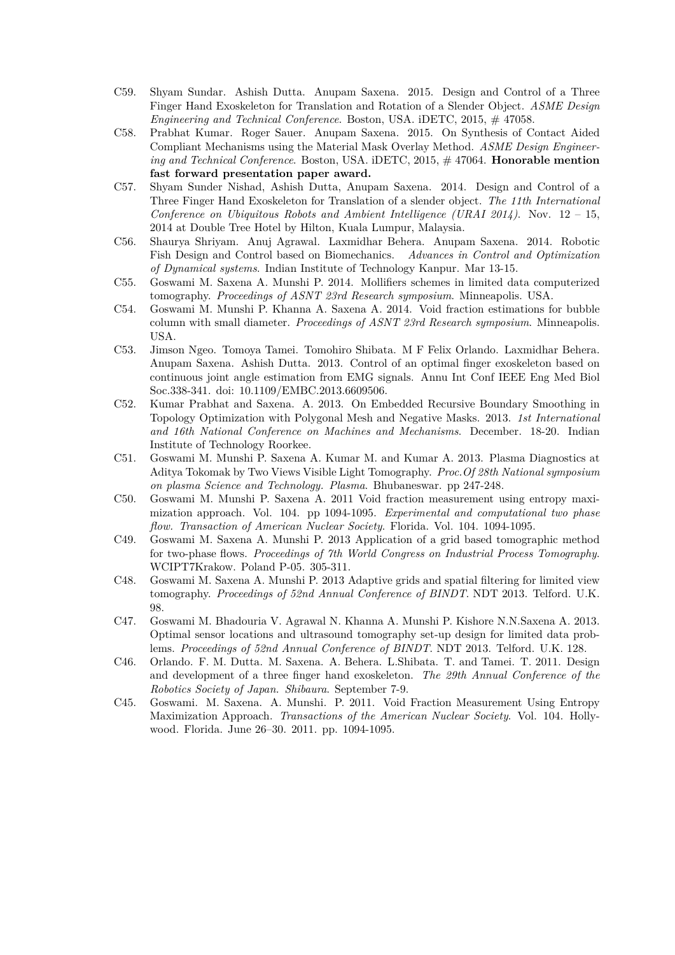- C59. Shyam Sundar. Ashish Dutta. Anupam Saxena. 2015. Design and Control of a Three Finger Hand Exoskeleton for Translation and Rotation of a Slender Object. *ASME Design Engineering and Technical Conference*. Boston, USA. iDETC, 2015, # 47058.
- C58. Prabhat Kumar. Roger Sauer. Anupam Saxena. 2015. On Synthesis of Contact Aided Compliant Mechanisms using the Material Mask Overlay Method. *ASME Design Engineering and Technical Conference*. Boston, USA. iDETC, 2015, # 47064. **Honorable mention fast forward presentation paper award.**
- C57. Shyam Sunder Nishad, Ashish Dutta, Anupam Saxena. 2014. Design and Control of a Three Finger Hand Exoskeleton for Translation of a slender object. *The 11th International Conference on Ubiquitous Robots and Ambient Intelligence (URAI 2014)*. Nov. 12 – 15, 2014 at Double Tree Hotel by Hilton, Kuala Lumpur, Malaysia.
- C56. Shaurya Shriyam. Anuj Agrawal. Laxmidhar Behera. Anupam Saxena. 2014. Robotic Fish Design and Control based on Biomechanics. *Advances in Control and Optimization of Dynamical systems*. Indian Institute of Technology Kanpur. Mar 13-15.
- C55. Goswami M. Saxena A. Munshi P. 2014. Mollifiers schemes in limited data computerized tomography. *Proceedings of ASNT 23rd Research symposium*. Minneapolis. USA.
- C54. Goswami M. Munshi P. Khanna A. Saxena A. 2014. Void fraction estimations for bubble column with small diameter. *Proceedings of ASNT 23rd Research symposium*. Minneapolis. USA.
- C53. Jimson Ngeo. Tomoya Tamei. Tomohiro Shibata. M F Felix Orlando. Laxmidhar Behera. Anupam Saxena. Ashish Dutta. 2013. Control of an optimal finger exoskeleton based on continuous joint angle estimation from EMG signals. Annu Int Conf IEEE Eng Med Biol Soc.338-341. doi: 10.1109/EMBC.2013.6609506.
- C52. Kumar Prabhat and Saxena. A. 2013. On Embedded Recursive Boundary Smoothing in Topology Optimization with Polygonal Mesh and Negative Masks. 2013. *1st International and 16th National Conference on Machines and Mechanisms*. December. 18-20. Indian Institute of Technology Roorkee.
- C51. Goswami M. Munshi P. Saxena A. Kumar M. and Kumar A. 2013. Plasma Diagnostics at Aditya Tokomak by Two Views Visible Light Tomography. *Proc.Of 28th National symposium on plasma Science and Technology. Plasma*. Bhubaneswar. pp 247-248.
- C50. Goswami M. Munshi P. Saxena A. 2011 Void fraction measurement using entropy maximization approach. Vol. 104. pp 1094-1095. *Experimental and computational two phase flow. Transaction of American Nuclear Society*. Florida. Vol. 104. 1094-1095.
- C49. Goswami M. Saxena A. Munshi P. 2013 Application of a grid based tomographic method for two-phase flows. *Proceedings of 7th World Congress on Industrial Process Tomography*. WCIPT7Krakow. Poland P-05. 305-311.
- C48. Goswami M. Saxena A. Munshi P. 2013 Adaptive grids and spatial filtering for limited view tomography. *Proceedings of 52nd Annual Conference of BINDT*. NDT 2013. Telford. U.K. 98.
- C47. Goswami M. Bhadouria V. Agrawal N. Khanna A. Munshi P. Kishore N.N.Saxena A. 2013. Optimal sensor locations and ultrasound tomography set-up design for limited data problems. *Proceedings of 52nd Annual Conference of BINDT*. NDT 2013. Telford. U.K. 128.
- C46. Orlando. F. M. Dutta. M. Saxena. A. Behera. L.Shibata. T. and Tamei. T. 2011. Design and development of a three finger hand exoskeleton. *The 29th Annual Conference of the Robotics Society of Japan. Shibaura*. September 7-9.
- C45. Goswami. M. Saxena. A. Munshi. P. 2011. Void Fraction Measurement Using Entropy Maximization Approach. *Transactions of the American Nuclear Society*. Vol. 104. Hollywood. Florida. June 26–30. 2011. pp. 1094-1095.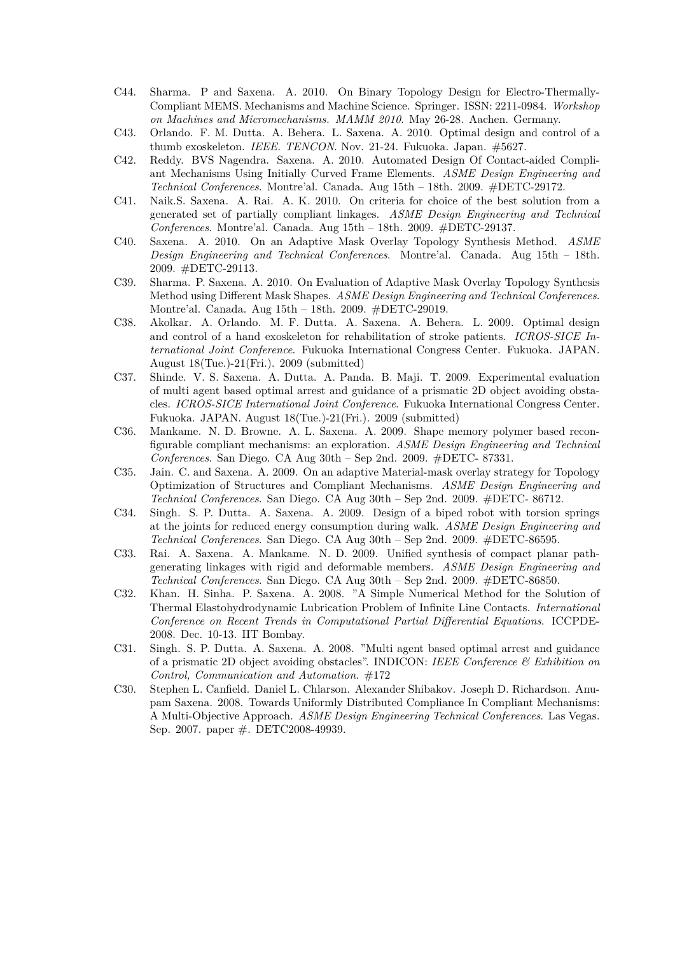- C44. Sharma. P and Saxena. A. 2010. On Binary Topology Design for Electro-Thermally-Compliant MEMS. Mechanisms and Machine Science. Springer. ISSN: 2211-0984. *Workshop on Machines and Micromechanisms. MAMM 2010*. May 26-28. Aachen. Germany.
- C43. Orlando. F. M. Dutta. A. Behera. L. Saxena. A. 2010. Optimal design and control of a thumb exoskeleton. *IEEE. TENCON*. Nov. 21-24. Fukuoka. Japan. #5627.
- C42. Reddy. BVS Nagendra. Saxena. A. 2010. Automated Design Of Contact-aided Compliant Mechanisms Using Initially Curved Frame Elements. *ASME Design Engineering and Technical Conferences*. Montre'al. Canada. Aug 15th – 18th. 2009. #DETC-29172.
- C41. Naik.S. Saxena. A. Rai. A. K. 2010. On criteria for choice of the best solution from a generated set of partially compliant linkages. *ASME Design Engineering and Technical Conferences*. Montre'al. Canada. Aug 15th – 18th. 2009. #DETC-29137.
- C40. Saxena. A. 2010. On an Adaptive Mask Overlay Topology Synthesis Method. *ASME Design Engineering and Technical Conferences*. Montre'al. Canada. Aug 15th – 18th. 2009. #DETC-29113.
- C39. Sharma. P. Saxena. A. 2010. On Evaluation of Adaptive Mask Overlay Topology Synthesis Method using Different Mask Shapes. *ASME Design Engineering and Technical Conferences*. Montre'al. Canada. Aug 15th – 18th. 2009. #DETC-29019.
- C38. Akolkar. A. Orlando. M. F. Dutta. A. Saxena. A. Behera. L. 2009. Optimal design and control of a hand exoskeleton for rehabilitation of stroke patients. *ICROS-SICE International Joint Conference*. Fukuoka International Congress Center. Fukuoka. JAPAN. August 18(Tue.)-21(Fri.). 2009 (submitted)
- C37. Shinde. V. S. Saxena. A. Dutta. A. Panda. B. Maji. T. 2009. Experimental evaluation of multi agent based optimal arrest and guidance of a prismatic 2D object avoiding obstacles. *ICROS-SICE International Joint Conference*. Fukuoka International Congress Center. Fukuoka. JAPAN. August 18(Tue.)-21(Fri.). 2009 (submitted)
- C36. Mankame. N. D. Browne. A. L. Saxena. A. 2009. Shape memory polymer based reconfigurable compliant mechanisms: an exploration. *ASME Design Engineering and Technical Conferences*. San Diego. CA Aug 30th – Sep 2nd. 2009. #DETC- 87331.
- C35. Jain. C. and Saxena. A. 2009. On an adaptive Material-mask overlay strategy for Topology Optimization of Structures and Compliant Mechanisms. *ASME Design Engineering and Technical Conferences*. San Diego. CA Aug 30th – Sep 2nd. 2009. #DETC- 86712.
- C34. Singh. S. P. Dutta. A. Saxena. A. 2009. Design of a biped robot with torsion springs at the joints for reduced energy consumption during walk. *ASME Design Engineering and Technical Conferences*. San Diego. CA Aug 30th – Sep 2nd. 2009. #DETC-86595.
- C33. Rai. A. Saxena. A. Mankame. N. D. 2009. Unified synthesis of compact planar pathgenerating linkages with rigid and deformable members. *ASME Design Engineering and Technical Conferences*. San Diego. CA Aug 30th – Sep 2nd. 2009. #DETC-86850.
- C32. Khan. H. Sinha. P. Saxena. A. 2008. "A Simple Numerical Method for the Solution of Thermal Elastohydrodynamic Lubrication Problem of Infinite Line Contacts. *International Conference on Recent Trends in Computational Partial Differential Equations*. ICCPDE-2008. Dec. 10-13. IIT Bombay.
- C31. Singh. S. P. Dutta. A. Saxena. A. 2008. "Multi agent based optimal arrest and guidance of a prismatic 2D object avoiding obstacles". INDICON: *IEEE Conference & Exhibition on Control, Communication and Automation*. #172
- C30. Stephen L. Canfield. Daniel L. Chlarson. Alexander Shibakov. Joseph D. Richardson. Anupam Saxena. 2008. Towards Uniformly Distributed Compliance In Compliant Mechanisms: A Multi-Objective Approach. *ASME Design Engineering Technical Conferences*. Las Vegas. Sep. 2007. paper #. DETC2008-49939.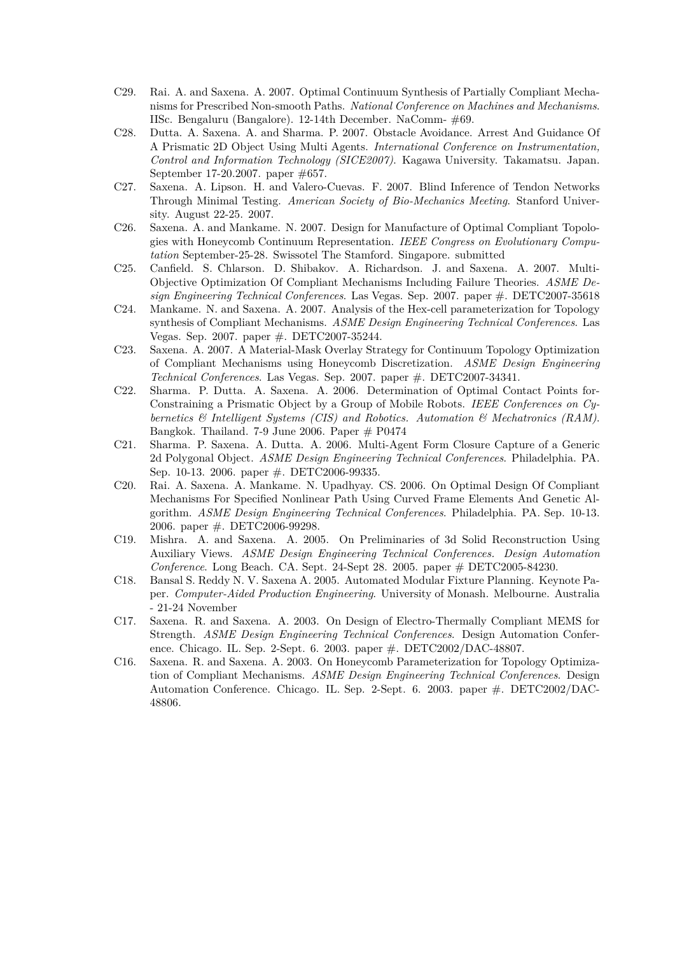- C29. Rai. A. and Saxena. A. 2007. Optimal Continuum Synthesis of Partially Compliant Mechanisms for Prescribed Non-smooth Paths. *National Conference on Machines and Mechanisms*. IISc. Bengaluru (Bangalore). 12-14th December. NaComm- #69.
- C28. Dutta. A. Saxena. A. and Sharma. P. 2007. Obstacle Avoidance. Arrest And Guidance Of A Prismatic 2D Object Using Multi Agents. *International Conference on Instrumentation, Control and Information Technology (SICE2007)*. Kagawa University. Takamatsu. Japan. September 17-20.2007. paper #657.
- C27. Saxena. A. Lipson. H. and Valero-Cuevas. F. 2007. Blind Inference of Tendon Networks Through Minimal Testing. *American Society of Bio-Mechanics Meeting*. Stanford University. August 22-25. 2007.
- C26. Saxena. A. and Mankame. N. 2007. Design for Manufacture of Optimal Compliant Topologies with Honeycomb Continuum Representation. *IEEE Congress on Evolutionary Computation* September-25-28. Swissotel The Stamford. Singapore. submitted
- C25. Canfield. S. Chlarson. D. Shibakov. A. Richardson. J. and Saxena. A. 2007. Multi-Objective Optimization Of Compliant Mechanisms Including Failure Theories. *ASME Design Engineering Technical Conferences*. Las Vegas. Sep. 2007. paper #. DETC2007-35618
- C24. Mankame. N. and Saxena. A. 2007. Analysis of the Hex-cell parameterization for Topology synthesis of Compliant Mechanisms. *ASME Design Engineering Technical Conferences*. Las Vegas. Sep. 2007. paper #. DETC2007-35244.
- C23. Saxena. A. 2007. A Material-Mask Overlay Strategy for Continuum Topology Optimization of Compliant Mechanisms using Honeycomb Discretization. *ASME Design Engineering Technical Conferences*. Las Vegas. Sep. 2007. paper #. DETC2007-34341.
- C22. Sharma. P. Dutta. A. Saxena. A. 2006. Determination of Optimal Contact Points for-Constraining a Prismatic Object by a Group of Mobile Robots. *IEEE Conferences on Cybernetics & Intelligent Systems (CIS) and Robotics. Automation & Mechatronics (RAM)*. Bangkok. Thailand. 7-9 June 2006. Paper  $#$  P0474
- C21. Sharma. P. Saxena. A. Dutta. A. 2006. Multi-Agent Form Closure Capture of a Generic 2d Polygonal Object. *ASME Design Engineering Technical Conferences*. Philadelphia. PA. Sep. 10-13. 2006. paper #. DETC2006-99335.
- C20. Rai. A. Saxena. A. Mankame. N. Upadhyay. CS. 2006. On Optimal Design Of Compliant Mechanisms For Specified Nonlinear Path Using Curved Frame Elements And Genetic Algorithm. *ASME Design Engineering Technical Conferences*. Philadelphia. PA. Sep. 10-13. 2006. paper #. DETC2006-99298.
- C19. Mishra. A. and Saxena. A. 2005. On Preliminaries of 3d Solid Reconstruction Using Auxiliary Views. *ASME Design Engineering Technical Conferences. Design Automation Conference*. Long Beach. CA. Sept. 24-Sept 28. 2005. paper # DETC2005-84230.
- C18. Bansal S. Reddy N. V. Saxena A. 2005. Automated Modular Fixture Planning. Keynote Paper. *Computer-Aided Production Engineering*. University of Monash. Melbourne. Australia - 21-24 November
- C17. Saxena. R. and Saxena. A. 2003. On Design of Electro-Thermally Compliant MEMS for Strength. *ASME Design Engineering Technical Conferences*. Design Automation Conference. Chicago. IL. Sep. 2-Sept. 6. 2003. paper #. DETC2002/DAC-48807.
- C16. Saxena. R. and Saxena. A. 2003. On Honeycomb Parameterization for Topology Optimization of Compliant Mechanisms. *ASME Design Engineering Technical Conferences*. Design Automation Conference. Chicago. IL. Sep. 2-Sept. 6. 2003. paper #. DETC2002/DAC-48806.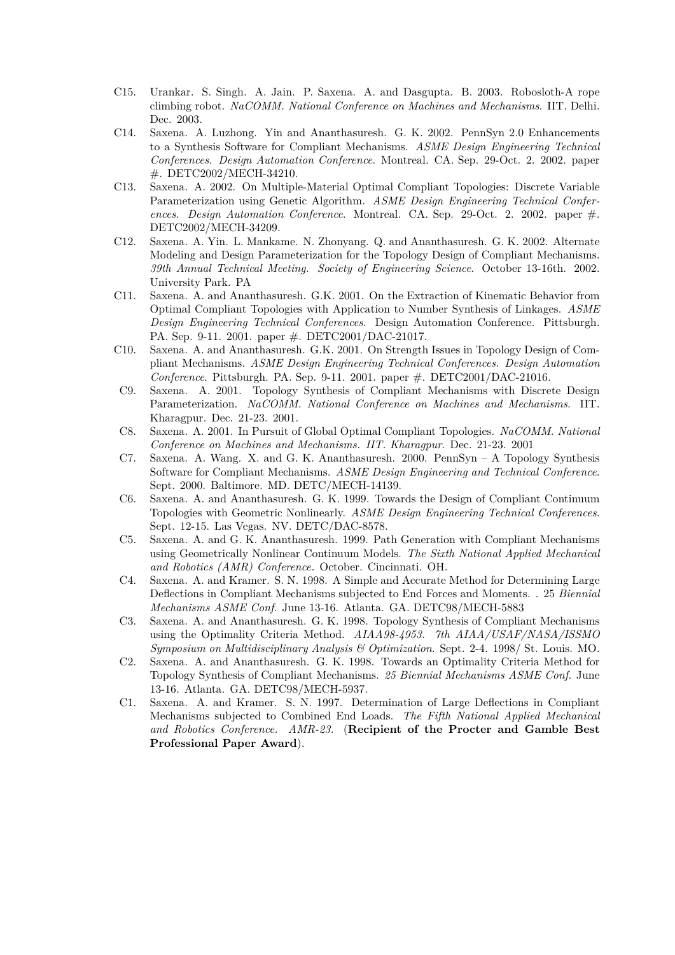- C15. Urankar. S. Singh. A. Jain. P. Saxena. A. and Dasgupta. B. 2003. Robosloth-A rope climbing robot. *NaCOMM. National Conference on Machines and Mechanisms*. IIT. Delhi. Dec. 2003.
- C14. Saxena. A. Luzhong. Yin and Ananthasuresh. G. K. 2002. PennSyn 2.0 Enhancements to a Synthesis Software for Compliant Mechanisms. *ASME Design Engineering Technical Conferences. Design Automation Conference*. Montreal. CA. Sep. 29-Oct. 2. 2002. paper #. DETC2002/MECH-34210.
- C13. Saxena. A. 2002. On Multiple-Material Optimal Compliant Topologies: Discrete Variable Parameterization using Genetic Algorithm. *ASME Design Engineering Technical Conferences. Design Automation Conference*. Montreal. CA. Sep. 29-Oct. 2. 2002. paper #. DETC2002/MECH-34209.
- C12. Saxena. A. Yin. L. Mankame. N. Zhonyang. Q. and Ananthasuresh. G. K. 2002. Alternate Modeling and Design Parameterization for the Topology Design of Compliant Mechanisms. *39th Annual Technical Meeting. Society of Engineering Science*. October 13-16th. 2002. University Park. PA
- C11. Saxena. A. and Ananthasuresh. G.K. 2001. On the Extraction of Kinematic Behavior from Optimal Compliant Topologies with Application to Number Synthesis of Linkages. *ASME Design Engineering Technical Conferences*. Design Automation Conference. Pittsburgh. PA. Sep. 9-11. 2001. paper #. DETC2001/DAC-21017.
- C10. Saxena. A. and Ananthasuresh. G.K. 2001. On Strength Issues in Topology Design of Compliant Mechanisms. *ASME Design Engineering Technical Conferences. Design Automation Conference*. Pittsburgh. PA. Sep. 9-11. 2001. paper #. DETC2001/DAC-21016.
- C9. Saxena. A. 2001. Topology Synthesis of Compliant Mechanisms with Discrete Design Parameterization. *NaCOMM. National Conference on Machines and Mechanisms*. IIT. Kharagpur. Dec. 21-23. 2001.
- C8. Saxena. A. 2001. In Pursuit of Global Optimal Compliant Topologies. *NaCOMM. National Conference on Machines and Mechanisms. IIT. Kharagpur*. Dec. 21-23. 2001
- C7. Saxena. A. Wang. X. and G. K. Ananthasuresh. 2000. PennSyn A Topology Synthesis Software for Compliant Mechanisms. *ASME Design Engineering and Technical Conference*. Sept. 2000. Baltimore. MD. DETC/MECH-14139.
- C6. Saxena. A. and Ananthasuresh. G. K. 1999. Towards the Design of Compliant Continuum Topologies with Geometric Nonlinearly. *ASME Design Engineering Technical Conferences*. Sept. 12-15. Las Vegas. NV. DETC/DAC-8578.
- C5. Saxena. A. and G. K. Ananthasuresh. 1999. Path Generation with Compliant Mechanisms using Geometrically Nonlinear Continuum Models. *The Sixth National Applied Mechanical and Robotics (AMR) Conference.* October. Cincinnati. OH.
- C4. Saxena. A. and Kramer. S. N. 1998. A Simple and Accurate Method for Determining Large Deflections in Compliant Mechanisms subjected to End Forces and Moments. . 25 *Biennial Mechanisms ASME Conf*. June 13-16. Atlanta. GA. DETC98/MECH-5883
- C3. Saxena. A. and Ananthasuresh. G. K. 1998. Topology Synthesis of Compliant Mechanisms using the Optimality Criteria Method. *AIAA98-4953. 7th AIAA/USAF/NASA/ISSMO Symposium on Multidisciplinary Analysis & Optimization*. Sept. 2-4. 1998/ St. Louis. MO.
- C2. Saxena. A. and Ananthasuresh. G. K. 1998. Towards an Optimality Criteria Method for Topology Synthesis of Compliant Mechanisms. *25 Biennial Mechanisms ASME Conf*. June 13-16. Atlanta. GA. DETC98/MECH-5937.
- C1. Saxena. A. and Kramer. S. N. 1997. Determination of Large Deflections in Compliant Mechanisms subjected to Combined End Loads. *The Fifth National Applied Mechanical and Robotics Conference. AMR-23.* (**Recipient of the Procter and Gamble Best Professional Paper Award**).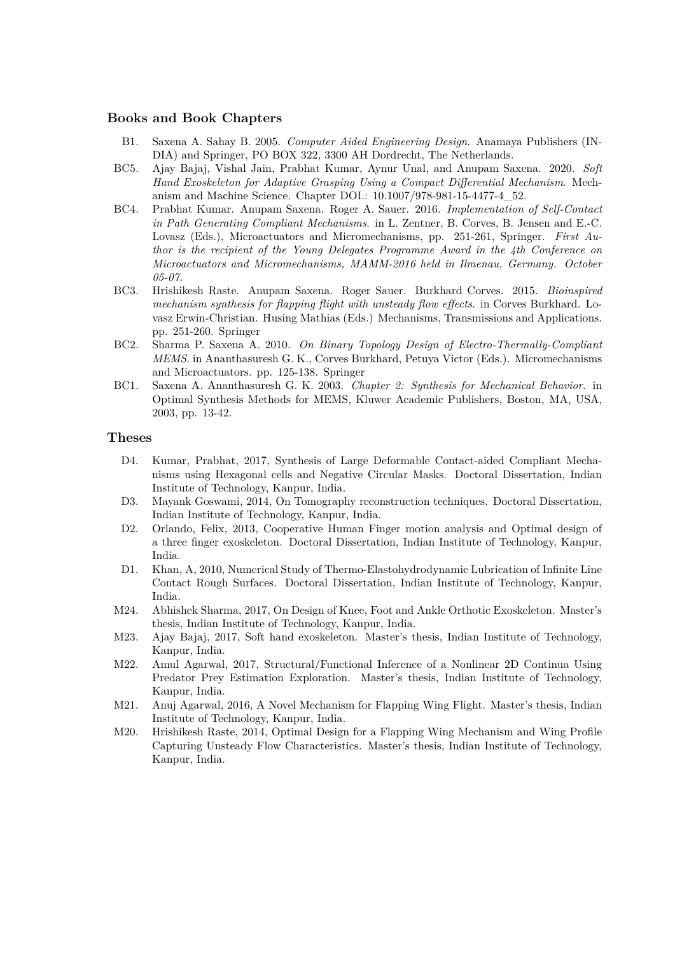#### **Books and Book Chapters**

- B1. Saxena A. Sahay B. 2005. *Computer Aided Engineering Design*. Anamaya Publishers (IN-DIA) and Springer, PO BOX 322, 3300 AH Dordrecht, The Netherlands.
- BC5. Ajay Bajaj, Vishal Jain, Prabhat Kumar, Aynur Unal, and Anupam Saxena. 2020. *Soft Hand Exoskeleton for Adaptive Grasping Using a Compact Differential Mechanism*. Mechanism and Machine Science. Chapter DOI.: 10.1007/978-981-15-4477-4\_52.
- BC4. Prabhat Kumar. Anupam Saxena. Roger A. Sauer. 2016. *Implementation of Self-Contact in Path Generating Compliant Mechanisms*. in L. Zentner, B. Corves, B. Jensen and E.-C. Lovasz (Eds.), Microactuators and Micromechanisms, pp. 251-261, Springer. *First Author is the recipient of the Young Delegates Programme Award in the 4th Conference on Microactuators and Micromechanisms, MAMM-2016 held in Ilmenau, Germany. October 05-07.*
- BC3. Hrishikesh Raste. Anupam Saxena. Roger Sauer. Burkhard Corves. 2015. *Bioinspired mechanism synthesis for flapping flight with unsteady flow effects*. in Corves Burkhard. Lovasz Erwin-Christian. Husing Mathias (Eds.) Mechanisms, Transmissions and Applications. pp. 251-260. Springer
- BC2. Sharma P. Saxena A. 2010. *On Binary Topology Design of Electro-Thermally-Compliant MEMS*. in Ananthasuresh G. K., Corves Burkhard, Petuya Victor (Eds.). Micromechanisms and Microactuators. pp. 125-138. Springer
- BC1. Saxena A. Ananthasuresh G. K. 2003. *Chapter 2: Synthesis for Mechanical Behavior*. in Optimal Synthesis Methods for MEMS, Kluwer Academic Publishers, Boston, MA, USA, 2003, pp. 13-42.

#### **Theses**

- D4. Kumar, Prabhat, 2017, Synthesis of Large Deformable Contact-aided Compliant Mechanisms using Hexagonal cells and Negative Circular Masks. Doctoral Dissertation, Indian Institute of Technology, Kanpur, India.
- D3. Mayank Goswami, 2014, On Tomography reconstruction techniques. Doctoral Dissertation, Indian Institute of Technology, Kanpur, India.
- D2. Orlando, Felix, 2013, Cooperative Human Finger motion analysis and Optimal design of a three finger exoskeleton. Doctoral Dissertation, Indian Institute of Technology, Kanpur, India.
- D1. Khan, A, 2010, Numerical Study of Thermo-Elastohydrodynamic Lubrication of Infinite Line Contact Rough Surfaces. Doctoral Dissertation, Indian Institute of Technology, Kanpur, India.
- M24. Abhishek Sharma, 2017, On Design of Knee, Foot and Ankle Orthotic Exoskeleton. Master's thesis, Indian Institute of Technology, Kanpur, India.
- M23. Ajay Bajaj, 2017, Soft hand exoskeleton. Master's thesis, Indian Institute of Technology, Kanpur, India.
- M22. Amul Agarwal, 2017, Structural/Functional Inference of a Nonlinear 2D Continua Using Predator Prey Estimation Exploration. Master's thesis, Indian Institute of Technology, Kanpur, India.
- M21. Anuj Agarwal, 2016, A Novel Mechanism for Flapping Wing Flight. Master's thesis, Indian Institute of Technology, Kanpur, India.
- M20. Hrishikesh Raste, 2014, Optimal Design for a Flapping Wing Mechanism and Wing Profile Capturing Unsteady Flow Characteristics. Master's thesis, Indian Institute of Technology, Kanpur, India.